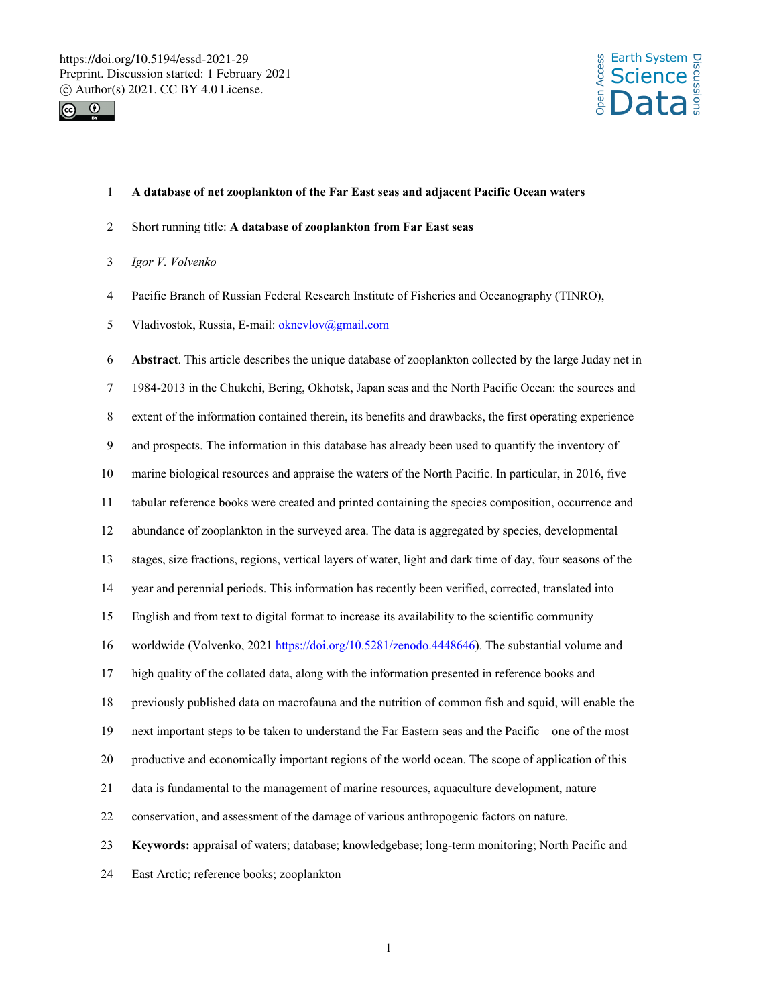



### 1 **A database of net zooplankton of the Far East seas and adjacent Pacific Ocean waters**

- 2 Short running title: **A database of zooplankton from Far East seas**
- 3 *Igor V. Volvenko*
- 4 Pacific Branch of Russian Federal Research Institute of Fisheries and Oceanography (TINRO),
- 5 Vladivostok, Russia, E-mail: oknevlov@gmail.com

6 **Abstract**. This article describes the unique database of zooplankton collected by the large Juday net in 7 1984-2013 in the Chukchi, Bering, Okhotsk, Japan seas and the North Pacific Ocean: the sources and 8 extent of the information contained therein, its benefits and drawbacks, the first operating experience 9 and prospects. The information in this database has already been used to quantify the inventory of 10 marine biological resources and appraise the waters of the North Pacific. In particular, in 2016, five 11 tabular reference books were created and printed containing the species composition, occurrence and 12 abundance of zooplankton in the surveyed area. The data is aggregated by species, developmental 13 stages, size fractions, regions, vertical layers of water, light and dark time of day, four seasons of the 14 year and perennial periods. This information has recently been verified, corrected, translated into 15 English and from text to digital format to increase its availability to the scientific community 16 worldwide (Volvenko, 2021 https://doi.org/10.5281/zenodo.4448646). The substantial volume and 17 high quality of the collated data, along with the information presented in reference books and 18 previously published data on macrofauna and the nutrition of common fish and squid, will enable the 19 next important steps to be taken to understand the Far Eastern seas and the Pacific – one of the most 20 productive and economically important regions of the world ocean. The scope of application of this 21 data is fundamental to the management of marine resources, aquaculture development, nature 22 conservation, and assessment of the damage of various anthropogenic factors on nature. 23 **Keywords:** appraisal of waters; database; knowledgebase; long-term monitoring; North Pacific and 24 East Arctic; reference books; zooplankton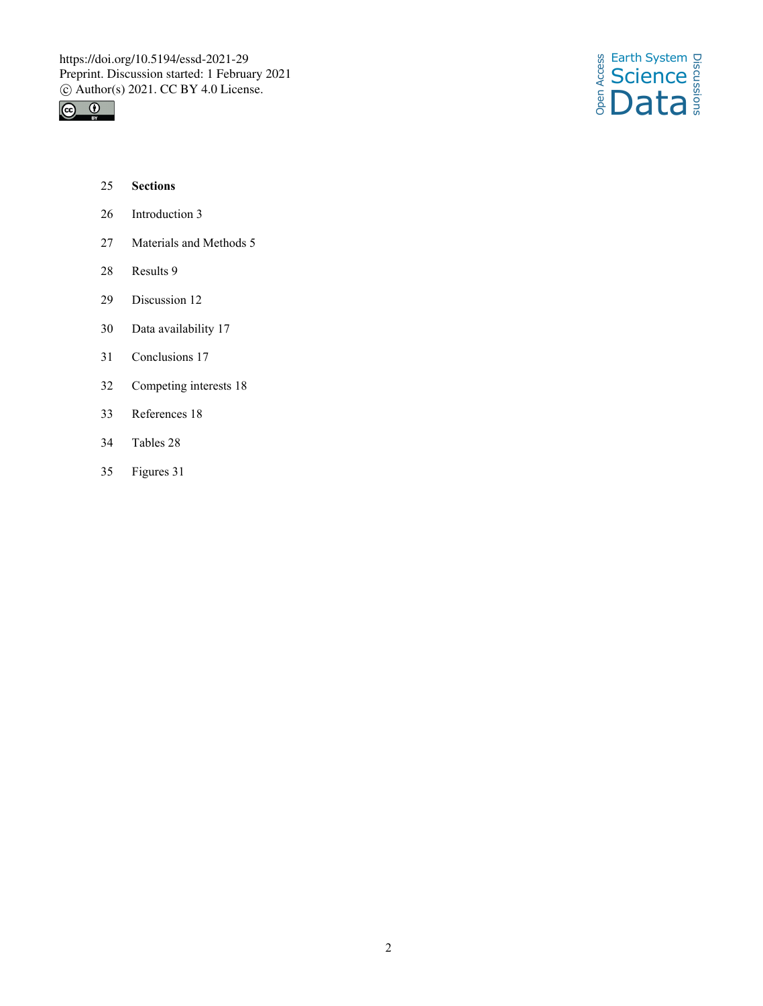



- 25 **Sections**
- 26 Introduction 3
- 27 Materials and Methods 5
- 28 Results 9
- 29 Discussion 12
- 30 Data availability 17
- 31 Conclusions 17
- 32 Competing interests 18
- 33 References 18
- 34 Tables 28
- 35 Figures 31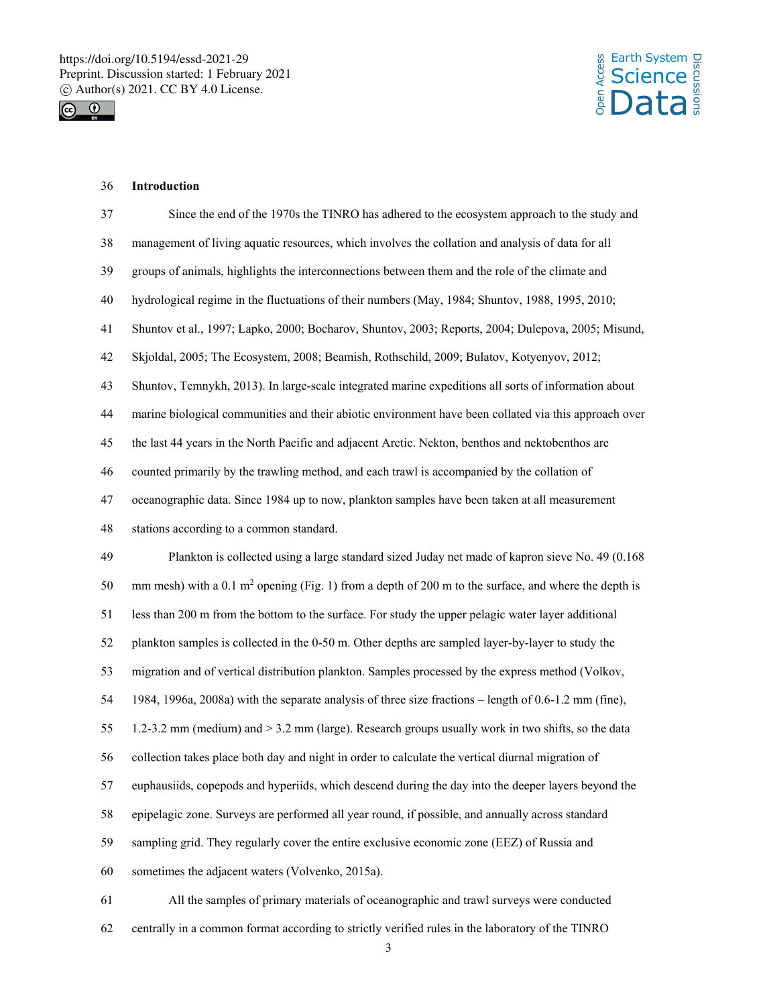



# 36 **Introduction**

| 37 | Since the end of the 1970s the TINRO has adhered to the ecosystem approach to the study and            |
|----|--------------------------------------------------------------------------------------------------------|
| 38 | management of living aquatic resources, which involves the collation and analysis of data for all      |
| 39 | groups of animals, highlights the interconnections between them and the role of the climate and        |
| 40 | hydrological regime in the fluctuations of their numbers (May, 1984; Shuntov, 1988, 1995, 2010;        |
| 41 | Shuntov et al., 1997; Lapko, 2000; Bocharov, Shuntov, 2003; Reports, 2004; Dulepova, 2005; Misund,     |
| 42 | Skjoldal, 2005; The Ecosystem, 2008; Beamish, Rothschild, 2009; Bulatov, Kotyenyov, 2012;              |
| 43 | Shuntov, Temnykh, 2013). In large-scale integrated marine expeditions all sorts of information about   |
| 44 | marine biological communities and their abiotic environment have been collated via this approach over  |
| 45 | the last 44 years in the North Pacific and adjacent Arctic. Nekton, benthos and nektobenthos are       |
| 46 | counted primarily by the trawling method, and each trawl is accompanied by the collation of            |
| 47 | oceanographic data. Since 1984 up to now, plankton samples have been taken at all measurement          |
| 48 | stations according to a common standard.                                                               |
| 49 | Plankton is collected using a large standard sized Juday net made of kapron sieve No. 49 (0.168)       |
| 50 | mm mesh) with a 0.1 $m2$ opening (Fig. 1) from a depth of 200 m to the surface, and where the depth is |
| 51 | less than 200 m from the bottom to the surface. For study the upper pelagic water layer additional     |
| 52 | plankton samples is collected in the 0-50 m. Other depths are sampled layer-by-layer to study the      |
| 53 | migration and of vertical distribution plankton. Samples processed by the express method (Volkov,      |
| 54 | 1984, 1996a, 2008a) with the separate analysis of three size fractions – length of 0.6-1.2 mm (fine),  |
| 55 | 1.2-3.2 mm (medium) and > 3.2 mm (large). Research groups usually work in two shifts, so the data      |
| 56 | collection takes place both day and night in order to calculate the vertical diurnal migration of      |
| 57 | euphausiids, copepods and hyperiids, which descend during the day into the deeper layers beyond the    |
| 58 | epipelagic zone. Surveys are performed all year round, if possible, and annually across standard       |
| 59 | sampling grid. They regularly cover the entire exclusive economic zone (EEZ) of Russia and             |
| 60 | sometimes the adjacent waters (Volvenko, 2015a).                                                       |
| 61 | All the samples of primary materials of oceanographic and trawl surveys were conducted                 |

62 centrally in a common format according to strictly verified rules in the laboratory of the TINRO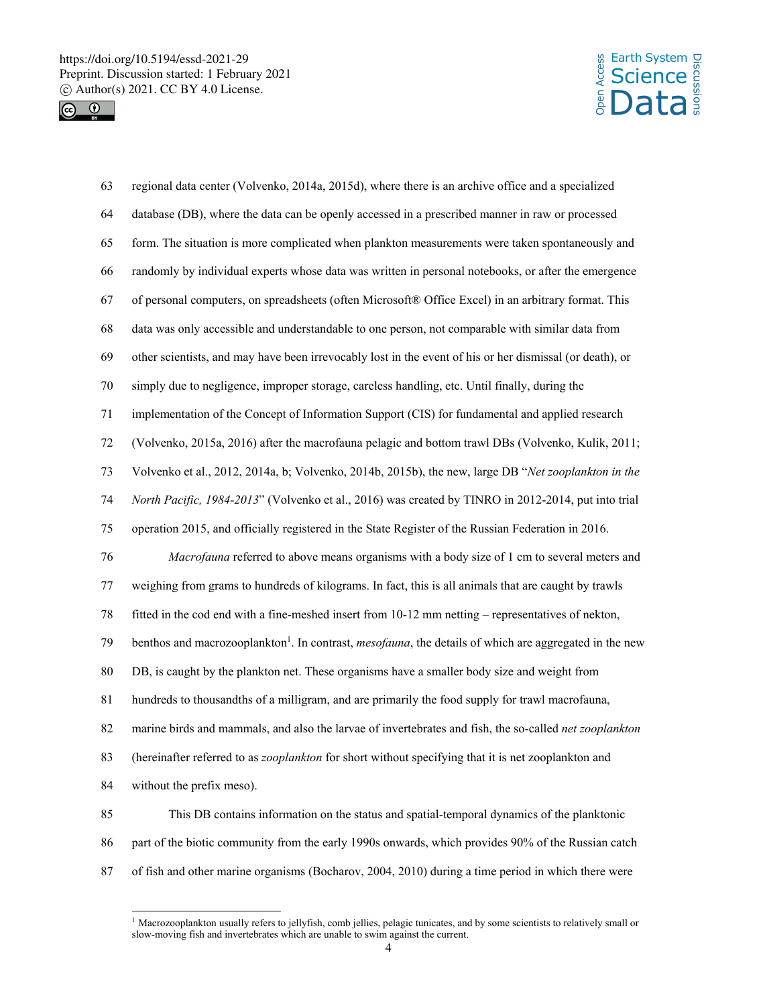



63 regional data center (Volvenko, 2014a, 2015d), where there is an archive office and a specialized 64 database (DB), where the data can be openly accessed in a prescribed manner in raw or processed 65 form. The situation is more complicated when plankton measurements were taken spontaneously and 66 randomly by individual experts whose data was written in personal notebooks, or after the emergence 67 of personal computers, on spreadsheets (often Microsoft® Office Excel) in an arbitrary format. This 68 data was only accessible and understandable to one person, not comparable with similar data from 69 other scientists, and may have been irrevocably lost in the event of his or her dismissal (or death), or 70 simply due to negligence, improper storage, careless handling, etc. Until finally, during the 71 implementation of the Concept of Information Support (CIS) for fundamental and applied research 72 (Volvenko, 2015a, 2016) after the macrofauna pelagic and bottom trawl DBs (Volvenko, Kulik, 2011; 73 Volvenko et al., 2012, 2014a, b; Volvenko, 2014b, 2015b), the new, large DB "*Net zooplankton in the*  74 *North Pacific, 1984-2013*" (Volvenko et al., 2016) was created by TINRO in 2012-2014, put into trial 75 operation 2015, and officially registered in the State Register of the Russian Federation in 2016. 76 *Macrofauna* referred to above means organisms with a body size of 1 cm to several meters and 77 weighing from grams to hundreds of kilograms. In fact, this is all animals that are caught by trawls 78 fitted in the cod end with a fine-meshed insert from 10-12 mm netting – representatives of nekton, benthos and macrozooplankton<sup>1</sup>. In contrast, *mesofauna*, the details of which are aggregated in the new 80 DB, is caught by the plankton net. These organisms have a smaller body size and weight from 81 hundreds to thousandths of a milligram, and are primarily the food supply for trawl macrofauna, 82 marine birds and mammals, and also the larvae of invertebrates and fish, the so-called *net zooplankton* 83 (hereinafter referred to as *zooplankton* for short without specifying that it is net zooplankton and 84 without the prefix meso). 85 This DB contains information on the status and spatial-temporal dynamics of the planktonic 86 part of the biotic community from the early 1990s onwards, which provides 90% of the Russian catch

87 of fish and other marine organisms (Bocharov, 2004, 2010) during a time period in which there were

 $\overline{a}$ <sup>1</sup> Macrozooplankton usually refers to jellyfish, comb jellies, pelagic tunicates, and by some scientists to relatively small or slow-moving fish and invertebrates which are unable to swim against the current.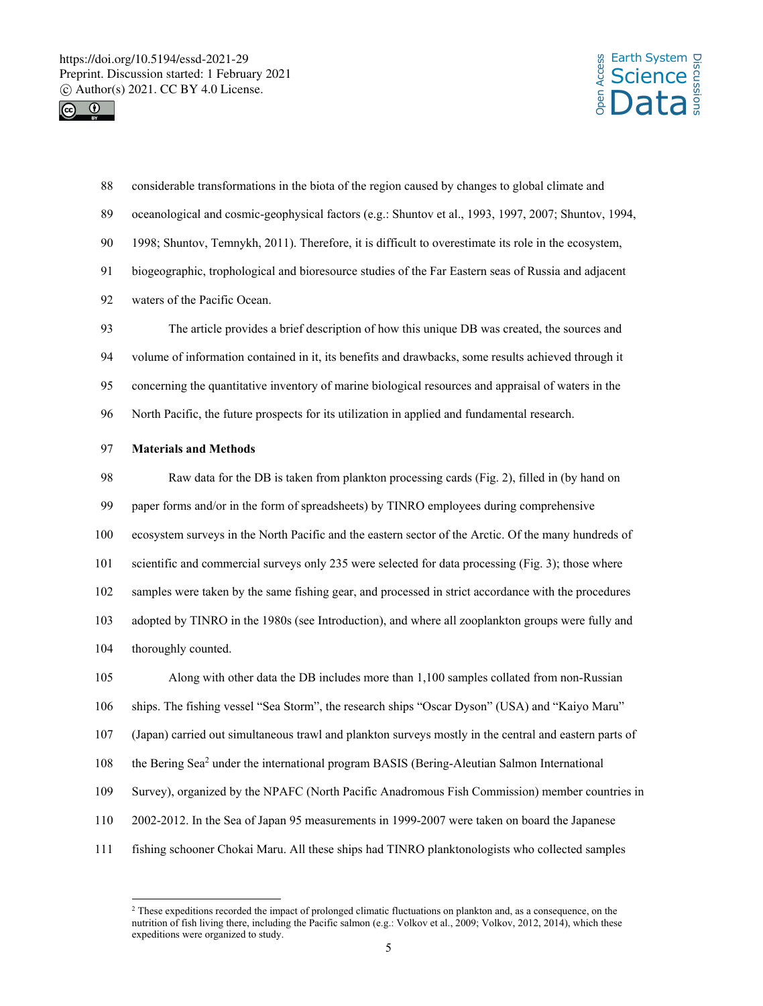

l



88 considerable transformations in the biota of the region caused by changes to global climate and 89 oceanological and cosmic-geophysical factors (e.g.: Shuntov et al., 1993, 1997, 2007; Shuntov, 1994, 90 1998; Shuntov, Temnykh, 2011). Therefore, it is difficult to overestimate its role in the ecosystem, 91 biogeographic, trophological and bioresource studies of the Far Eastern seas of Russia and adjacent 92 waters of the Pacific Ocean. 93 The article provides a brief description of how this unique DB was created, the sources and 94 volume of information contained in it, its benefits and drawbacks, some results achieved through it 95 concerning the quantitative inventory of marine biological resources and appraisal of waters in the 96 North Pacific, the future prospects for its utilization in applied and fundamental research. 97 **Materials and Methods** 98 Raw data for the DB is taken from plankton processing cards (Fig. 2), filled in (by hand on 99 paper forms and/or in the form of spreadsheets) by TINRO employees during comprehensive 100 ecosystem surveys in the North Pacific and the eastern sector of the Arctic. Of the many hundreds of 101 scientific and commercial surveys only 235 were selected for data processing (Fig. 3); those where 102 samples were taken by the same fishing gear, and processed in strict accordance with the procedures 103 adopted by TINRO in the 1980s (see Introduction), and where all zooplankton groups were fully and 104 thoroughly counted. 105 Along with other data the DB includes more than 1,100 samples collated from non-Russian 106 ships. The fishing vessel "Sea Storm", the research ships "Oscar Dyson" (USA) and "Kaiyo Maru" 107 (Japan) carried out simultaneous trawl and plankton surveys mostly in the central and eastern parts of 108 the Bering Sea<sup>2</sup> under the international program BASIS (Bering-Aleutian Salmon International 109 Survey), organized by the NPAFC (North Pacific Anadromous Fish Commission) member countries in 110 2002-2012. In the Sea of Japan 95 measurements in 1999-2007 were taken on board the Japanese 111 fishing schooner Chokai Maru. All these ships had TINRO planktonologists who collected samples

<sup>&</sup>lt;sup>2</sup> These expeditions recorded the impact of prolonged climatic fluctuations on plankton and, as a consequence, on the nutrition of fish living there, including the Pacific salmon (e.g.: Volkov et al., 2009; Volkov, 2012, 2014), which these expeditions were organized to study.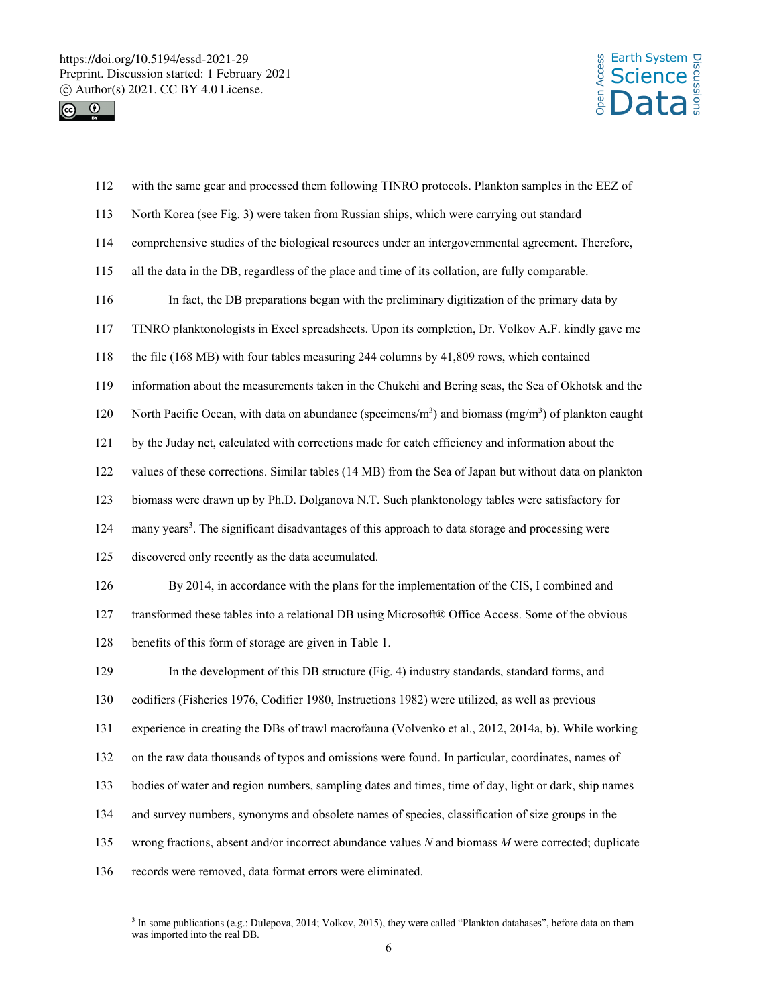



| 112 | with the same gear and processed them following TINRO protocols. Plankton samples in the EEZ of                             |
|-----|-----------------------------------------------------------------------------------------------------------------------------|
| 113 | North Korea (see Fig. 3) were taken from Russian ships, which were carrying out standard                                    |
| 114 | comprehensive studies of the biological resources under an intergovernmental agreement. Therefore,                          |
| 115 | all the data in the DB, regardless of the place and time of its collation, are fully comparable.                            |
| 116 | In fact, the DB preparations began with the preliminary digitization of the primary data by                                 |
| 117 | TINRO planktonologists in Excel spreadsheets. Upon its completion, Dr. Volkov A.F. kindly gave me                           |
| 118 | the file (168 MB) with four tables measuring 244 columns by 41,809 rows, which contained                                    |
| 119 | information about the measurements taken in the Chukchi and Bering seas, the Sea of Okhotsk and the                         |
| 120 | North Pacific Ocean, with data on abundance (specimens/m <sup>3</sup> ) and biomass (mg/m <sup>3</sup> ) of plankton caught |
| 121 | by the Juday net, calculated with corrections made for catch efficiency and information about the                           |
| 122 | values of these corrections. Similar tables (14 MB) from the Sea of Japan but without data on plankton                      |
| 123 | biomass were drawn up by Ph.D. Dolganova N.T. Such planktonology tables were satisfactory for                               |
| 124 | many years <sup>3</sup> . The significant disadvantages of this approach to data storage and processing were                |
| 125 | discovered only recently as the data accumulated.                                                                           |
| 126 | By 2014, in accordance with the plans for the implementation of the CIS, I combined and                                     |
| 127 | transformed these tables into a relational DB using Microsoft® Office Access. Some of the obvious                           |
| 128 | benefits of this form of storage are given in Table 1.                                                                      |
| 129 | In the development of this DB structure (Fig. 4) industry standards, standard forms, and                                    |
| 130 | codifiers (Fisheries 1976, Codifier 1980, Instructions 1982) were utilized, as well as previous                             |
| 131 | experience in creating the DBs of trawl macrofauna (Volvenko et al., 2012, 2014a, b). While working                         |
| 132 | on the raw data thousands of typos and omissions were found. In particular, coordinates, names of                           |
| 133 | bodies of water and region numbers, sampling dates and times, time of day, light or dark, ship names                        |
| 134 | and survey numbers, synonyms and obsolete names of species, classification of size groups in the                            |
| 135 | wrong fractions, absent and/or incorrect abundance values $N$ and biomass $M$ were corrected; duplicate                     |
| 136 | records were removed, data format errors were eliminated.                                                                   |

<sup>&</sup>lt;sup>3</sup> In some publications (e.g.: Dulepova, 2014; Volkov, 2015), they were called "Plankton databases", before data on them was imported into the real DB.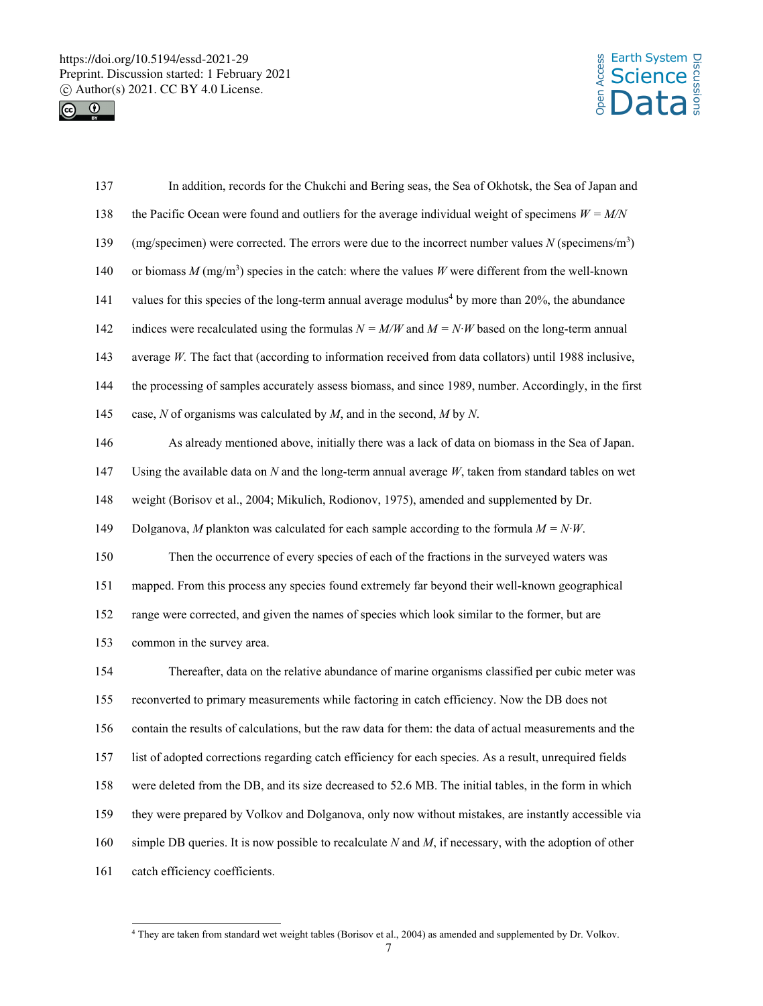



| 137 | In addition, records for the Chukchi and Bering seas, the Sea of Okhotsk, the Sea of Japan and                   |
|-----|------------------------------------------------------------------------------------------------------------------|
| 138 | the Pacific Ocean were found and outliers for the average individual weight of specimens $W = M/N$               |
| 139 | (mg/specimen) were corrected. The errors were due to the incorrect number values $N$ (specimens/m <sup>3</sup> ) |
| 140 | or biomass $M \text{ (mg/m}^3)$ species in the catch: where the values W were different from the well-known      |
| 141 | values for this species of the long-term annual average modulus <sup>4</sup> by more than 20%, the abundance     |
| 142 | indices were recalculated using the formulas $N = M/W$ and $M = N \cdot W$ based on the long-term annual         |
| 143 | average $W$ . The fact that (according to information received from data collators) until 1988 inclusive,        |
| 144 | the processing of samples accurately assess biomass, and since 1989, number. Accordingly, in the first           |
| 145 | case, $N$ of organisms was calculated by $M$ , and in the second, $M$ by $N$ .                                   |
| 146 | As already mentioned above, initially there was a lack of data on biomass in the Sea of Japan.                   |
| 147 | Using the available data on $N$ and the long-term annual average $W$ , taken from standard tables on wet         |
| 148 | weight (Borisov et al., 2004; Mikulich, Rodionov, 1975), amended and supplemented by Dr.                         |
| 149 | Dolganova, M plankton was calculated for each sample according to the formula $M = N \cdot W$ .                  |
| 150 | Then the occurrence of every species of each of the fractions in the surveyed waters was                         |
| 151 | mapped. From this process any species found extremely far beyond their well-known geographical                   |
| 152 | range were corrected, and given the names of species which look similar to the former, but are                   |
| 153 | common in the survey area.                                                                                       |
| 154 | Thereafter, data on the relative abundance of marine organisms classified per cubic meter was                    |
| 155 | reconverted to primary measurements while factoring in catch efficiency. Now the DB does not                     |
| 156 | contain the results of calculations, but the raw data for them: the data of actual measurements and the          |
| 157 | list of adopted corrections regarding catch efficiency for each species. As a result, unrequired fields          |
| 158 | were deleted from the DB, and its size decreased to 52.6 MB. The initial tables, in the form in which            |
| 159 | they were prepared by Volkov and Dolganova, only now without mistakes, are instantly accessible via              |
| 160 | simple DB queries. It is now possible to recalculate $N$ and $M$ , if necessary, with the adoption of other      |
| 161 | catch efficiency coefficients.                                                                                   |

 4 They are taken from standard wet weight tables (Borisov et al., 2004) as amended and supplemented by Dr. Volkov.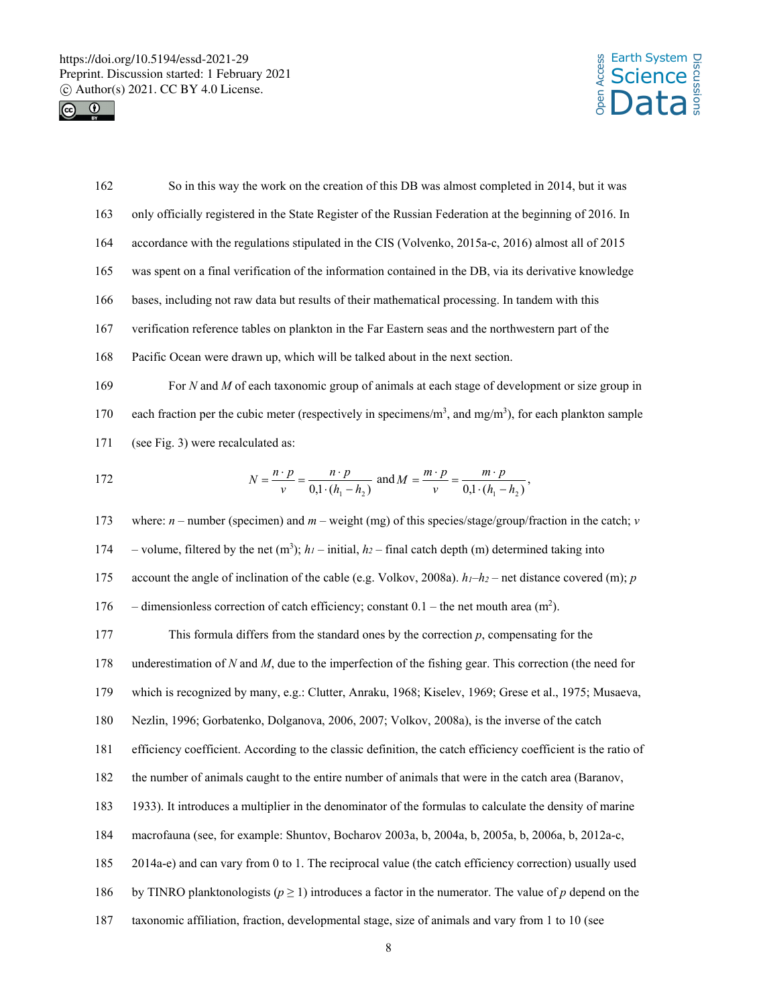



| 162 | So in this way the work on the creation of this DB was almost completed in 2014, but it was                                                   |  |  |  |  |
|-----|-----------------------------------------------------------------------------------------------------------------------------------------------|--|--|--|--|
| 163 | only officially registered in the State Register of the Russian Federation at the beginning of 2016. In                                       |  |  |  |  |
| 164 | accordance with the regulations stipulated in the CIS (Volvenko, 2015a-c, 2016) almost all of 2015                                            |  |  |  |  |
| 165 | was spent on a final verification of the information contained in the DB, via its derivative knowledge                                        |  |  |  |  |
| 166 | bases, including not raw data but results of their mathematical processing. In tandem with this                                               |  |  |  |  |
| 167 | verification reference tables on plankton in the Far Eastern seas and the northwestern part of the                                            |  |  |  |  |
| 168 | Pacific Ocean were drawn up, which will be talked about in the next section.                                                                  |  |  |  |  |
| 169 | For $N$ and $M$ of each taxonomic group of animals at each stage of development or size group in                                              |  |  |  |  |
| 170 | each fraction per the cubic meter (respectively in specimens/ $m3$ , and mg/m <sup>3</sup> ), for each plankton sample                        |  |  |  |  |
| 171 | (see Fig. 3) were recalculated as:                                                                                                            |  |  |  |  |
| 172 | $N = \frac{n \cdot p}{v} = \frac{n \cdot p}{0.1 \cdot (h_1 - h_2)}$ and $M = \frac{m \cdot p}{v} = \frac{m \cdot p}{0.1 \cdot (h_1 - h_2)}$ , |  |  |  |  |
| 173 | where: $n$ – number (specimen) and $m$ – weight (mg) of this species/stage/group/fraction in the catch; v                                     |  |  |  |  |
| 174 | - volume, filtered by the net (m <sup>3</sup> ); $h_l$ - initial, $h_2$ - final catch depth (m) determined taking into                        |  |  |  |  |
| 175 | account the angle of inclination of the cable (e.g. Volkov, 2008a). $h_l-h_2$ – net distance covered (m); p                                   |  |  |  |  |
| 176 | - dimensionless correction of catch efficiency; constant $0.1$ – the net mouth area (m <sup>2</sup> ).                                        |  |  |  |  |
| 177 | This formula differs from the standard ones by the correction $p$ , compensating for the                                                      |  |  |  |  |
| 178 | underestimation of $N$ and $M$ , due to the imperfection of the fishing gear. This correction (the need for                                   |  |  |  |  |
| 179 | which is recognized by many, e.g.: Clutter, Anraku, 1968; Kiselev, 1969; Grese et al., 1975; Musaeva,                                         |  |  |  |  |
| 180 | Nezlin, 1996; Gorbatenko, Dolganova, 2006, 2007; Volkov, 2008a), is the inverse of the catch                                                  |  |  |  |  |
| 181 | efficiency coefficient. According to the classic definition, the catch efficiency coefficient is the ratio of                                 |  |  |  |  |
| 182 | the number of animals caught to the entire number of animals that were in the catch area (Baranov,                                            |  |  |  |  |
| 183 | 1933). It introduces a multiplier in the denominator of the formulas to calculate the density of marine                                       |  |  |  |  |

184 macrofauna (see, for example: Shuntov, Bocharov 2003a, b, 2004a, b, 2005a, b, 2006a, b, 2012a-c,

185 2014a-e) and can vary from 0 to 1. The reciprocal value (the catch efficiency correction) usually used

186 by TINRO planktonologists ( $p \ge 1$ ) introduces a factor in the numerator. The value of  $p$  depend on the

187 taxonomic affiliation, fraction, developmental stage, size of animals and vary from 1 to 10 (see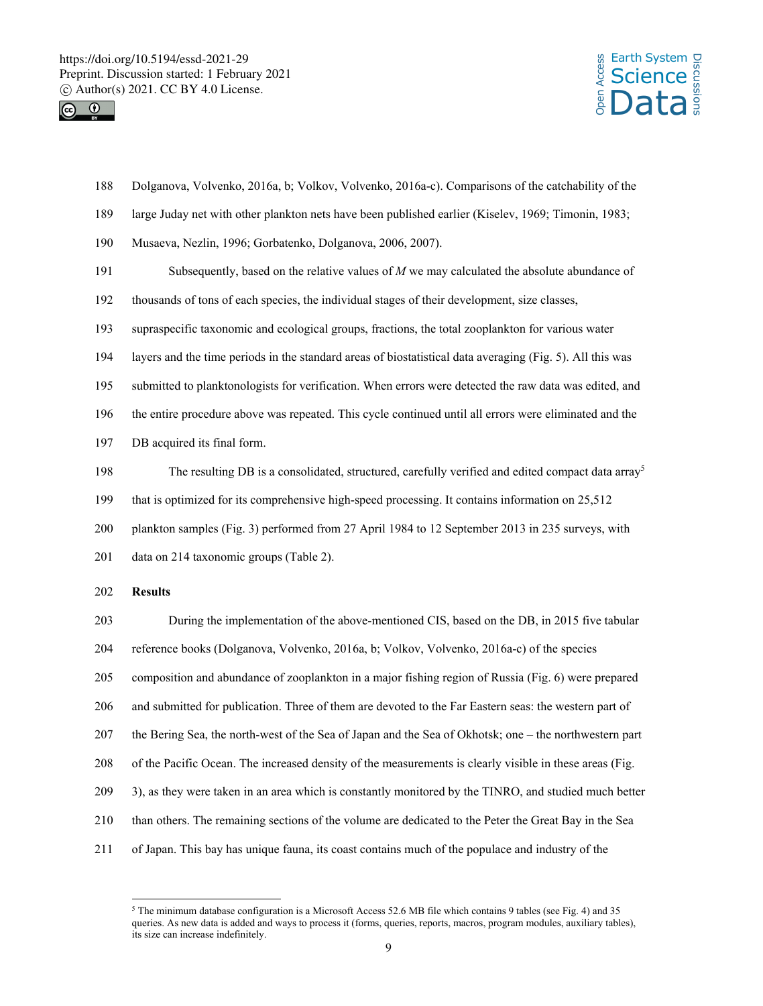



- 188 Dolganova, Volvenko, 2016a, b; Volkov, Volvenko, 2016a-c). Comparisons of the catchability of the
- 189 large Juday net with other plankton nets have been published earlier (Kiselev, 1969; Timonin, 1983;
- 190 Musaeva, Nezlin, 1996; Gorbatenko, Dolganova, 2006, 2007).
- 191 Subsequently, based on the relative values of *M* we may calculated the absolute abundance of
- 192 thousands of tons of each species, the individual stages of their development, size classes,
- 193 supraspecific taxonomic and ecological groups, fractions, the total zooplankton for various water
- 194 layers and the time periods in the standard areas of biostatistical data averaging (Fig. 5). All this was
- 195 submitted to planktonologists for verification. When errors were detected the raw data was edited, and
- 196 the entire procedure above was repeated. This cycle continued until all errors were eliminated and the
- 197 DB acquired its final form.
- The resulting DB is a consolidated, structured, carefully verified and edited compact data array<sup>5</sup>
- 199 that is optimized for its comprehensive high-speed processing. It contains information on 25,512
- 200 plankton samples (Fig. 3) performed from 27 April 1984 to 12 September 2013 in 235 surveys, with
- 201 data on 214 taxonomic groups (Table 2).

# 202 **Results**

l

203 During the implementation of the above-mentioned CIS, based on the DB, in 2015 five tabular 204 reference books (Dolganova, Volvenko, 2016a, b; Volkov, Volvenko, 2016a-c) of the species 205 composition and abundance of zooplankton in a major fishing region of Russia (Fig. 6) were prepared 206 and submitted for publication. Three of them are devoted to the Far Eastern seas: the western part of 207 the Bering Sea, the north-west of the Sea of Japan and the Sea of Okhotsk; one – the northwestern part 208 of the Pacific Ocean. The increased density of the measurements is clearly visible in these areas (Fig. 209 3), as they were taken in an area which is constantly monitored by the TINRO, and studied much better 210 than others. The remaining sections of the volume are dedicated to the Peter the Great Bay in the Sea 211 of Japan. This bay has unique fauna, its coast contains much of the populace and industry of the

<sup>5</sup> The minimum database configuration is a Microsoft Access 52.6 MB file which contains 9 tables (see Fig. 4) and 35 queries. As new data is added and ways to process it (forms, queries, reports, macros, program modules, auxiliary tables), its size can increase indefinitely.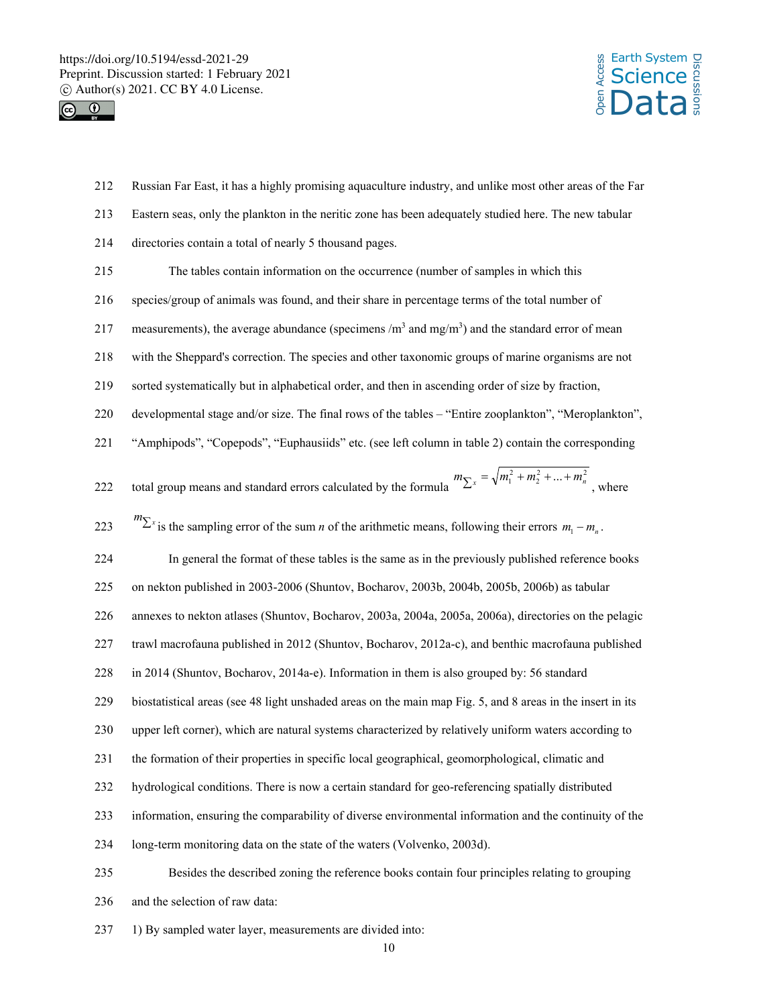



- 212 Russian Far East, it has a highly promising aquaculture industry, and unlike most other areas of the Far
- 213 Eastern seas, only the plankton in the neritic zone has been adequately studied here. The new tabular
- 214 directories contain a total of nearly 5 thousand pages.
- 215 The tables contain information on the occurrence (number of samples in which this
- 216 species/group of animals was found, and their share in percentage terms of the total number of
- 217 measurements), the average abundance (specimens  $/m<sup>3</sup>$  and mg/m<sup>3</sup>) and the standard error of mean
- 218 with the Sheppard's correction. The species and other taxonomic groups of marine organisms are not
- 219 sorted systematically but in alphabetical order, and then in ascending order of size by fraction,
- 220 developmental stage and/or size. The final rows of the tables "Entire zooplankton", "Meroplankton",
- 221 "Amphipods", "Copepods", "Euphausiids" etc. (see left column in table 2) contain the corresponding

222 total group means and standard errors calculated by the formula 
$$
m_{\sum x} = \sqrt{m_1^2 + m_2^2 + ... + m_n^2}
$$
, where

223  $m_{\sum x}$  is the sampling error of the sum *n* of the arithmetic means, following their errors  $m_1 - m_n$ .

224 In general the format of these tables is the same as in the previously published reference books

225 on nekton published in 2003-2006 (Shuntov, Bocharov, 2003b, 2004b, 2005b, 2006b) as tabular

- 226 annexes to nekton atlases (Shuntov, Bocharov, 2003a, 2004a, 2005a, 2006a), directories on the pelagic
- 227 trawl macrofauna published in 2012 (Shuntov, Bocharov, 2012a-c), and benthic macrofauna published
- 228 in 2014 (Shuntov, Bocharov, 2014a-e). Information in them is also grouped by: 56 standard
- 229 biostatistical areas (see 48 light unshaded areas on the main map Fig. 5, and 8 areas in the insert in its
- 230 upper left corner), which are natural systems characterized by relatively uniform waters according to
- 231 the formation of their properties in specific local geographical, geomorphological, climatic and
- 232 hydrological conditions. There is now a certain standard for geo-referencing spatially distributed
- 233 information, ensuring the comparability of diverse environmental information and the continuity of the
- 234 long-term monitoring data on the state of the waters (Volvenko, 2003d).

235 Besides the described zoning the reference books contain four principles relating to grouping 236 and the selection of raw data:

237 1) By sampled water layer, measurements are divided into: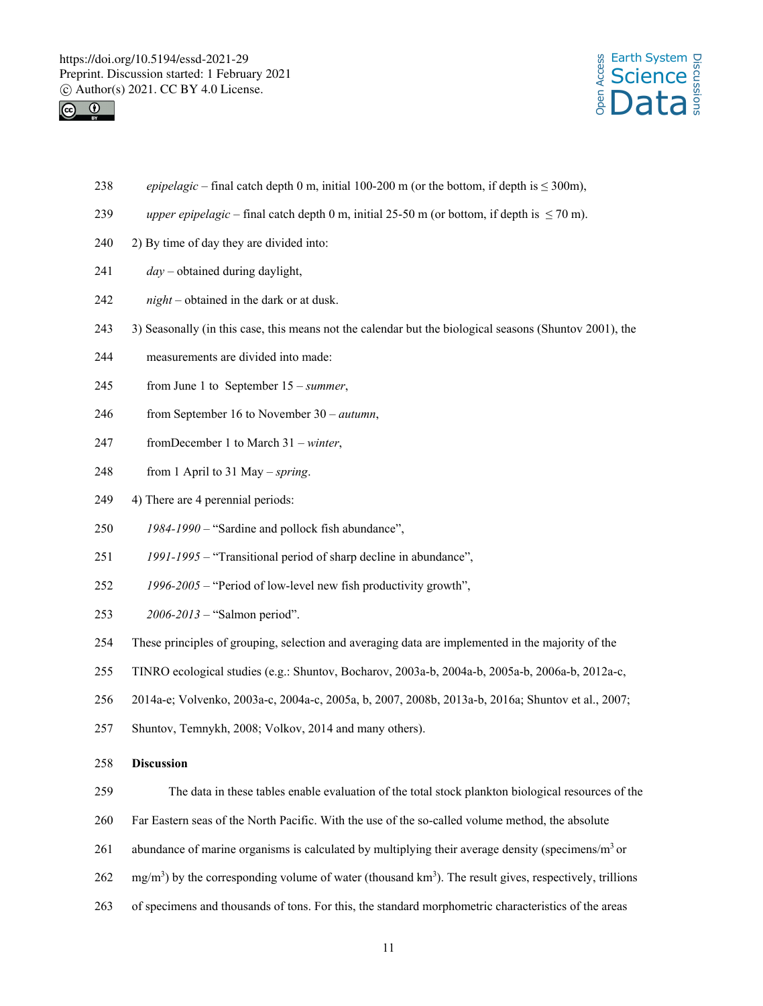



- 238 *epipelagic* final catch depth 0 m, initial 100-200 m (or the bottom, if depth is  $\leq 300$ m),
- 239 *upper epipelagic* final catch depth 0 m, initial 25-50 m (or bottom, if depth is  $\leq$  70 m).
- 240 2) By time of day they are divided into:
- 241 *day* obtained during daylight,
- 242 *night* obtained in the dark or at dusk.
- 243 3) Seasonally (in this case, this means not the calendar but the biological seasons (Shuntov 2001), the
- 244 measurements are divided into made:
- 245 from June 1 to September 15 *summer*,
- 246 from September 16 to November 30 *autumn*,
- 247 fromDecember 1 to March 31 *winter*,
- 248 from 1 April to 31 May *spring*.
- 249 4) There are 4 perennial periods:
- 250 *1984-1990* "Sardine and pollock fish abundance",
- 251 *1991-1995* "Transitional period of sharp decline in abundance",
- 252 *1996-2005* "Period of low-level new fish productivity growth",
- 253 *2006-2013* "Salmon period".
- 254 These principles of grouping, selection and averaging data are implemented in the majority of the
- 255 TINRO ecological studies (e.g.: Shuntov, Bocharov, 2003a-b, 2004a-b, 2005a-b, 2006a-b, 2012a-c,
- 256 2014a-e; Volvenko, 2003a-c, 2004a-c, 2005a, b, 2007, 2008b, 2013a-b, 2016a; Shuntov et al., 2007;
- 257 Shuntov, Temnykh, 2008; Volkov, 2014 and many others).

### 258 **Discussion**

- 259 The data in these tables enable evaluation of the total stock plankton biological resources of the
- 260 Far Eastern seas of the North Pacific. With the use of the so-called volume method, the absolute
- 261 abundance of marine organisms is calculated by multiplying their average density (specimens/ $m<sup>3</sup>$  or
- $262 \text{ mg/m}^3$ ) by the corresponding volume of water (thousand km<sup>3</sup>). The result gives, respectively, trillions
- 263 of specimens and thousands of tons. For this, the standard morphometric characteristics of the areas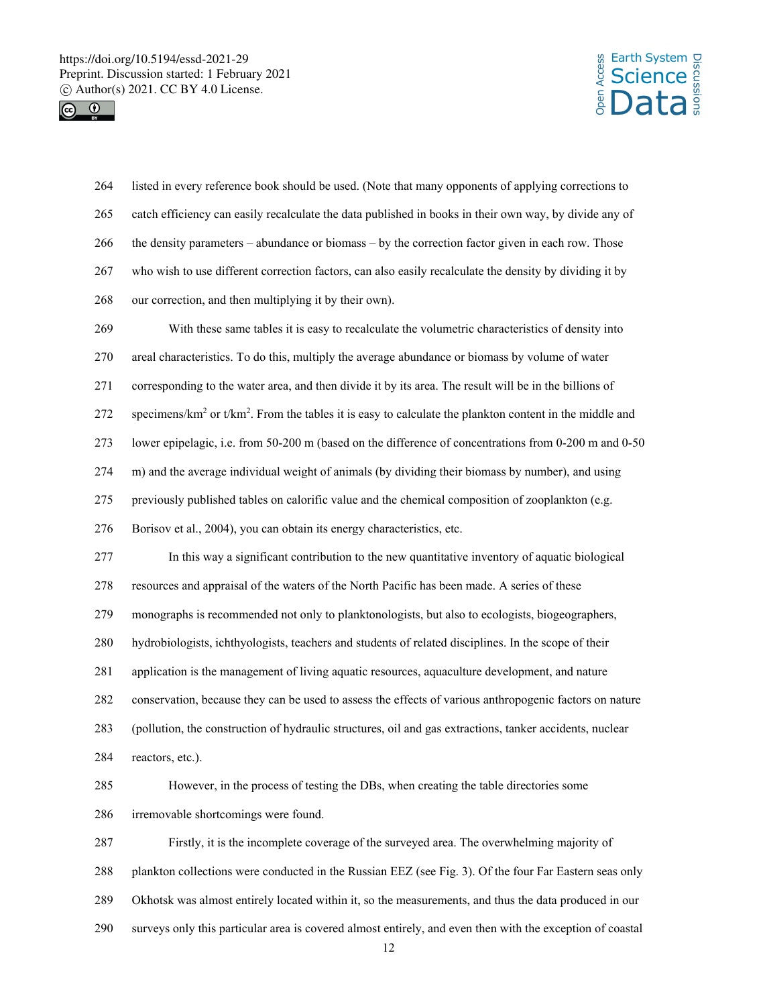



| 264 | listed in every reference book should be used. (Note that many opponents of applying corrections to                     |  |  |  |  |
|-----|-------------------------------------------------------------------------------------------------------------------------|--|--|--|--|
| 265 | catch efficiency can easily recalculate the data published in books in their own way, by divide any of                  |  |  |  |  |
| 266 | the density parameters – abundance or biomass – by the correction factor given in each row. Those                       |  |  |  |  |
| 267 | who wish to use different correction factors, can also easily recalculate the density by dividing it by                 |  |  |  |  |
| 268 | our correction, and then multiplying it by their own).                                                                  |  |  |  |  |
| 269 | With these same tables it is easy to recalculate the volumetric characteristics of density into                         |  |  |  |  |
| 270 | areal characteristics. To do this, multiply the average abundance or biomass by volume of water                         |  |  |  |  |
| 271 | corresponding to the water area, and then divide it by its area. The result will be in the billions of                  |  |  |  |  |
| 272 | specimens/ $km^2$ or t/km <sup>2</sup> . From the tables it is easy to calculate the plankton content in the middle and |  |  |  |  |
| 273 | lower epipelagic, i.e. from 50-200 m (based on the difference of concentrations from 0-200 m and 0-50                   |  |  |  |  |
| 274 | m) and the average individual weight of animals (by dividing their biomass by number), and using                        |  |  |  |  |
| 275 | previously published tables on calorific value and the chemical composition of zooplankton (e.g.                        |  |  |  |  |
| 276 | Borisov et al., 2004), you can obtain its energy characteristics, etc.                                                  |  |  |  |  |
| 277 | In this way a significant contribution to the new quantitative inventory of aquatic biological                          |  |  |  |  |
| 278 | resources and appraisal of the waters of the North Pacific has been made. A series of these                             |  |  |  |  |
| 279 | monographs is recommended not only to planktonologists, but also to ecologists, biogeographers,                         |  |  |  |  |
| 280 | hydrobiologists, ichthyologists, teachers and students of related disciplines. In the scope of their                    |  |  |  |  |
| 281 | application is the management of living aquatic resources, aquaculture development, and nature                          |  |  |  |  |
| 282 | conservation, because they can be used to assess the effects of various anthropogenic factors on nature                 |  |  |  |  |
| 283 | (pollution, the construction of hydraulic structures, oil and gas extractions, tanker accidents, nuclear                |  |  |  |  |
| 284 | reactors, etc.).                                                                                                        |  |  |  |  |
| 285 | However, in the process of testing the DBs, when creating the table directories some                                    |  |  |  |  |
| 286 | irremovable shortcomings were found.                                                                                    |  |  |  |  |
| 287 | Firstly, it is the incomplete coverage of the surveyed area. The overwhelming majority of                               |  |  |  |  |
| 288 | plankton collections were conducted in the Russian EEZ (see Fig. 3). Of the four Far Eastern seas only                  |  |  |  |  |
| 289 | Okhotsk was almost entirely located within it, so the measurements, and thus the data produced in our                   |  |  |  |  |
| 290 | surveys only this particular area is covered almost entirely, and even then with the exception of coastal<br>12         |  |  |  |  |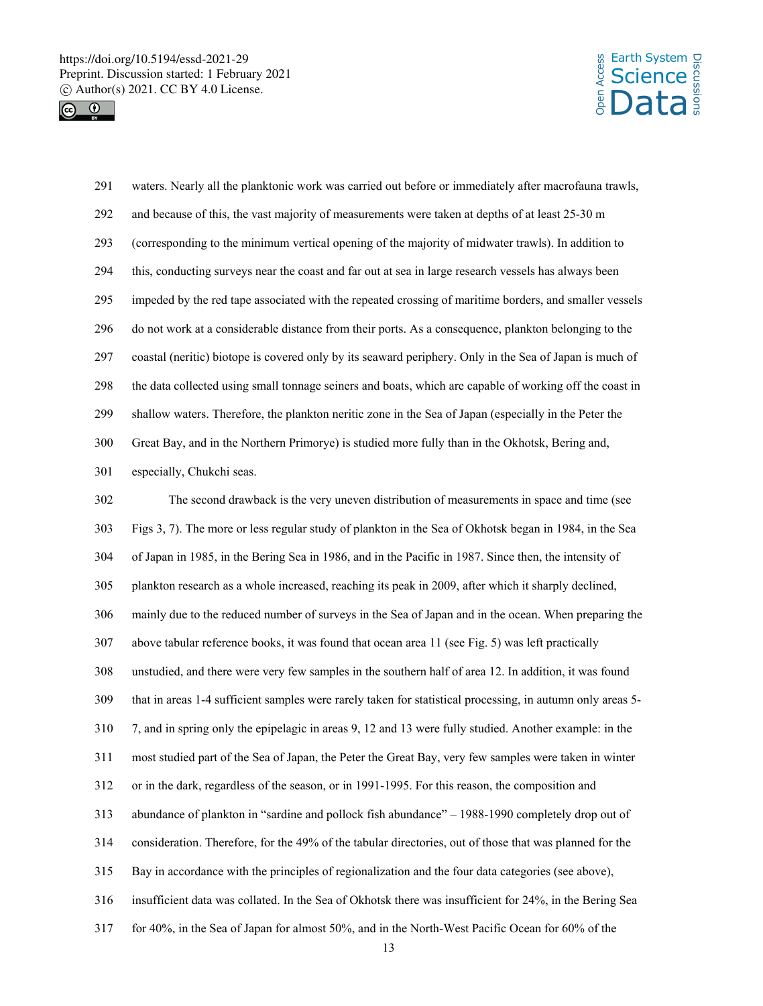



291 waters. Nearly all the planktonic work was carried out before or immediately after macrofauna trawls, 292 and because of this, the vast majority of measurements were taken at depths of at least 25-30 m 293 (corresponding to the minimum vertical opening of the majority of midwater trawls). In addition to 294 this, conducting surveys near the coast and far out at sea in large research vessels has always been 295 impeded by the red tape associated with the repeated crossing of maritime borders, and smaller vessels 296 do not work at a considerable distance from their ports. As a consequence, plankton belonging to the 297 coastal (neritic) biotope is covered only by its seaward periphery. Only in the Sea of Japan is much of 298 the data collected using small tonnage seiners and boats, which are capable of working off the coast in 299 shallow waters. Therefore, the plankton neritic zone in the Sea of Japan (especially in the Peter the 300 Great Bay, and in the Northern Primorye) is studied more fully than in the Okhotsk, Bering and, 301 especially, Chukchi seas. 302 The second drawback is the very uneven distribution of measurements in space and time (see

303 Figs 3, 7). The more or less regular study of plankton in the Sea of Okhotsk began in 1984, in the Sea 304 of Japan in 1985, in the Bering Sea in 1986, and in the Pacific in 1987. Since then, the intensity of 305 plankton research as a whole increased, reaching its peak in 2009, after which it sharply declined, 306 mainly due to the reduced number of surveys in the Sea of Japan and in the ocean. When preparing the 307 above tabular reference books, it was found that ocean area 11 (see Fig. 5) was left practically 308 unstudied, and there were very few samples in the southern half of area 12. In addition, it was found 309 that in areas 1-4 sufficient samples were rarely taken for statistical processing, in autumn only areas 5- 310 7, and in spring only the epipelagic in areas 9, 12 and 13 were fully studied. Another example: in the 311 most studied part of the Sea of Japan, the Peter the Great Bay, very few samples were taken in winter 312 or in the dark, regardless of the season, or in 1991-1995. For this reason, the composition and 313 abundance of plankton in "sardine and pollock fish abundance" – 1988-1990 completely drop out of 314 consideration. Therefore, for the 49% of the tabular directories, out of those that was planned for the 315 Bay in accordance with the principles of regionalization and the four data categories (see above), 316 insufficient data was collated. In the Sea of Okhotsk there was insufficient for 24%, in the Bering Sea 317 for 40%, in the Sea of Japan for almost 50%, and in the North-West Pacific Ocean for 60% of the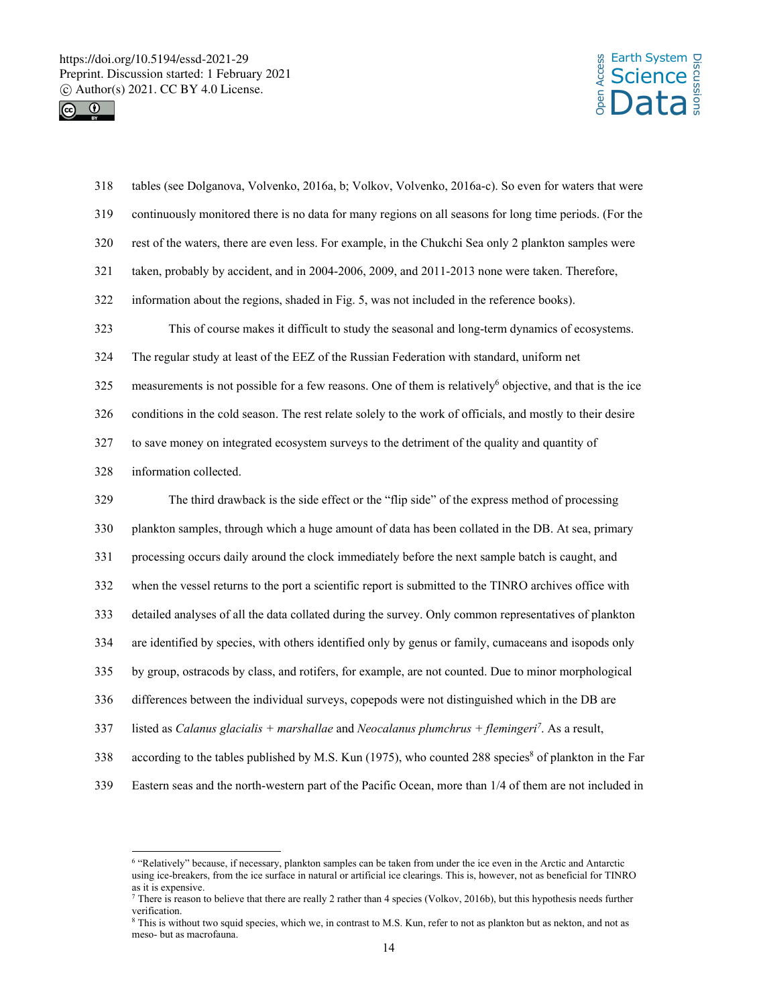



| 318 | tables (see Dolganova, Volvenko, 2016a, b; Volkov, Volvenko, 2016a-c). So even for waters that were                   |
|-----|-----------------------------------------------------------------------------------------------------------------------|
| 319 | continuously monitored there is no data for many regions on all seasons for long time periods. (For the               |
| 320 | rest of the waters, there are even less. For example, in the Chukchi Sea only 2 plankton samples were                 |
| 321 | taken, probably by accident, and in 2004-2006, 2009, and 2011-2013 none were taken. Therefore,                        |
| 322 | information about the regions, shaded in Fig. 5, was not included in the reference books).                            |
| 323 | This of course makes it difficult to study the seasonal and long-term dynamics of ecosystems.                         |
| 324 | The regular study at least of the EEZ of the Russian Federation with standard, uniform net                            |
| 325 | measurements is not possible for a few reasons. One of them is relatively <sup>6</sup> objective, and that is the ice |
| 326 | conditions in the cold season. The rest relate solely to the work of officials, and mostly to their desire            |
| 327 | to save money on integrated ecosystem surveys to the detriment of the quality and quantity of                         |
| 328 | information collected.                                                                                                |
| 329 | The third drawback is the side effect or the "flip side" of the express method of processing                          |
| 330 | plankton samples, through which a huge amount of data has been collated in the DB. At sea, primary                    |
| 331 | processing occurs daily around the clock immediately before the next sample batch is caught, and                      |
| 332 | when the vessel returns to the port a scientific report is submitted to the TINRO archives office with                |
| 333 | detailed analyses of all the data collated during the survey. Only common representatives of plankton                 |
| 334 | are identified by species, with others identified only by genus or family, cumaceans and isopods only                 |
| 335 | by group, ostracods by class, and rotifers, for example, are not counted. Due to minor morphological                  |
| 336 | differences between the individual surveys, copepods were not distinguished which in the DB are                       |
| 337 | listed as Calanus glacialis + marshallae and Neocalanus plumchrus + flemingeri <sup>7</sup> . As a result,            |
|     |                                                                                                                       |
| 338 | according to the tables published by M.S. Kun (1975), who counted 288 species <sup>8</sup> of plankton in the Far     |

 6 "Relatively" because, if necessary, plankton samples can be taken from under the ice even in the Arctic and Antarctic using ice-breakers, from the ice surface in natural or artificial ice clearings. This is, however, not as beneficial for TINRO as it is expensive.<br><sup>7</sup> There is reason to believe that there are really 2 rather than 4 species (Volkov, 2016b), but this hypothesis needs further

verification.

<sup>&</sup>lt;sup>8</sup> This is without two squid species, which we, in contrast to M.S. Kun, refer to not as plankton but as nekton, and not as meso- but as macrofauna.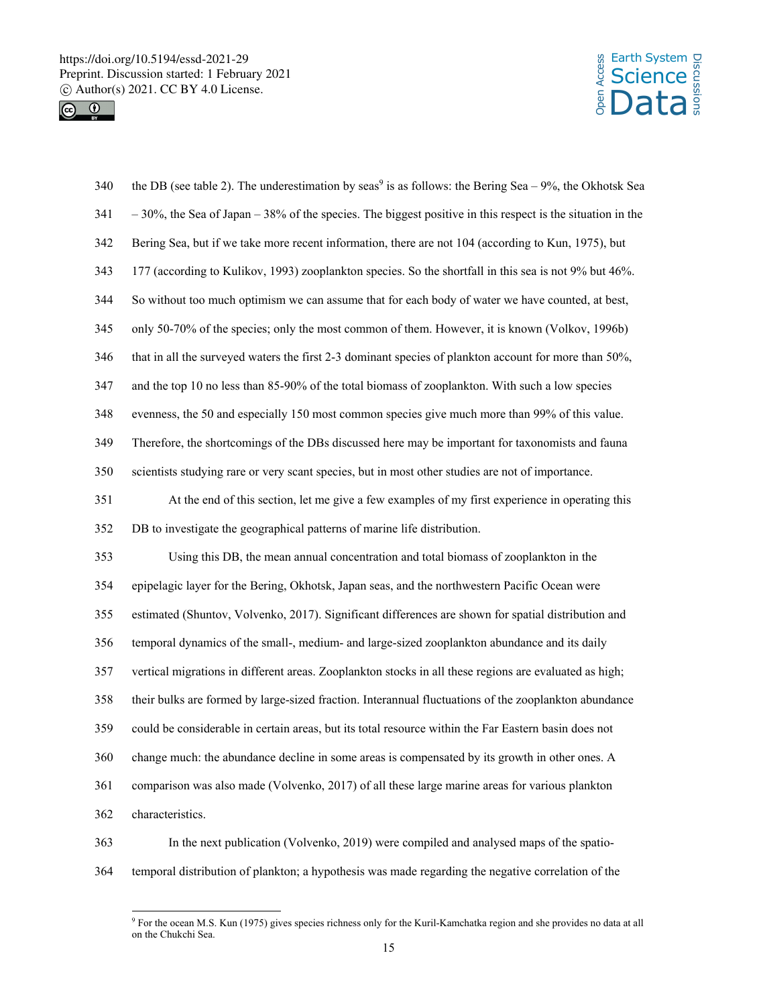



| 340 | the DB (see table 2). The underestimation by seas <sup>9</sup> is as follows: the Bering Sea – 9%, the Okhotsk Sea |
|-----|--------------------------------------------------------------------------------------------------------------------|
| 341 | $-30\%$ , the Sea of Japan $-38\%$ of the species. The biggest positive in this respect is the situation in the    |
| 342 | Bering Sea, but if we take more recent information, there are not 104 (according to Kun, 1975), but                |
| 343 | 177 (according to Kulikov, 1993) zooplankton species. So the shortfall in this sea is not 9% but 46%.              |
| 344 | So without too much optimism we can assume that for each body of water we have counted, at best,                   |
| 345 | only 50-70% of the species; only the most common of them. However, it is known (Volkov, 1996b)                     |
| 346 | that in all the surveyed waters the first 2-3 dominant species of plankton account for more than 50%,              |
| 347 | and the top 10 no less than 85-90% of the total biomass of zooplankton. With such a low species                    |
| 348 | evenness, the 50 and especially 150 most common species give much more than 99% of this value.                     |
| 349 | Therefore, the shortcomings of the DBs discussed here may be important for taxonomists and fauna                   |
| 350 | scientists studying rare or very scant species, but in most other studies are not of importance.                   |
| 351 | At the end of this section, let me give a few examples of my first experience in operating this                    |
| 352 | DB to investigate the geographical patterns of marine life distribution.                                           |
| 353 | Using this DB, the mean annual concentration and total biomass of zooplankton in the                               |
| 354 | epipelagic layer for the Bering, Okhotsk, Japan seas, and the northwestern Pacific Ocean were                      |
| 355 | estimated (Shuntov, Volvenko, 2017). Significant differences are shown for spatial distribution and                |
| 356 | temporal dynamics of the small-, medium- and large-sized zooplankton abundance and its daily                       |
| 357 | vertical migrations in different areas. Zooplankton stocks in all these regions are evaluated as high;             |
| 358 | their bulks are formed by large-sized fraction. Interannual fluctuations of the zooplankton abundance              |
| 359 | could be considerable in certain areas, but its total resource within the Far Eastern basin does not               |
| 360 | change much: the abundance decline in some areas is compensated by its growth in other ones. A                     |
| 361 | comparison was also made (Volvenko, 2017) of all these large marine areas for various plankton                     |
| 362 | characteristics.                                                                                                   |
| 363 | In the next publication (Volvenko, 2019) were compiled and analysed maps of the spatio-                            |
| 364 | temporal distribution of plankton; a hypothesis was made regarding the negative correlation of the                 |

 9 For the ocean M.S. Kun (1975) gives species richness only for the Kuril-Kamchatka region and she provides no data at all on the Chukchi Sea.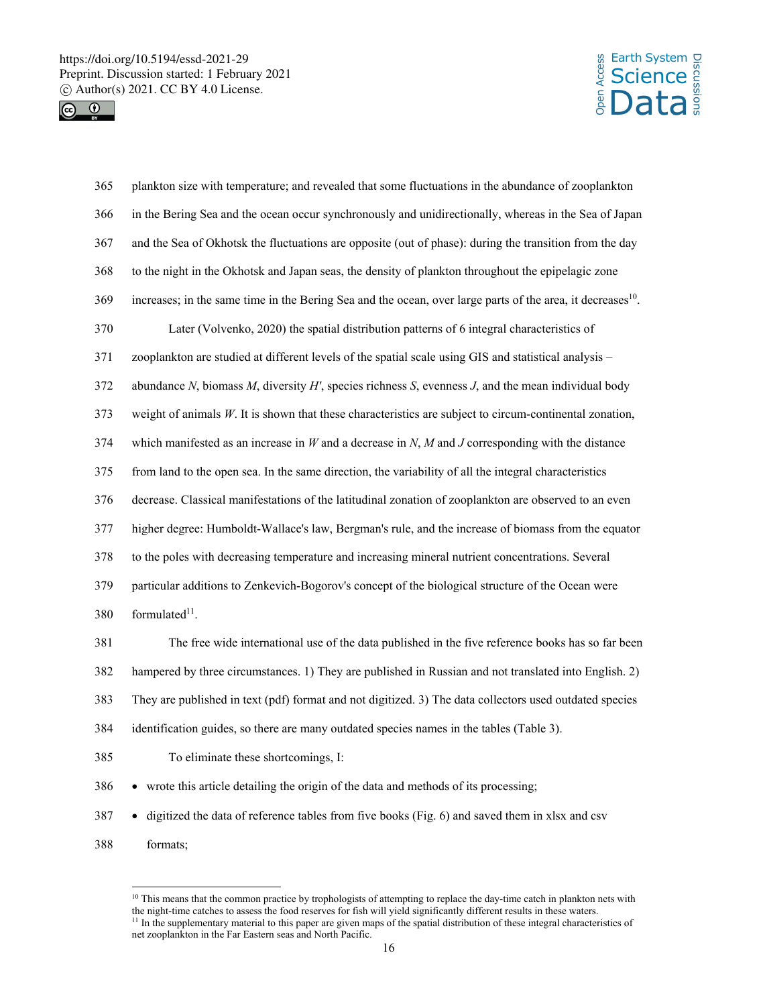

 $\overline{a}$ 



| 365 | plankton size with temperature; and revealed that some fluctuations in the abundance of zooplankton                     |
|-----|-------------------------------------------------------------------------------------------------------------------------|
| 366 | in the Bering Sea and the ocean occur synchronously and unidirectionally, whereas in the Sea of Japan                   |
| 367 | and the Sea of Okhotsk the fluctuations are opposite (out of phase): during the transition from the day                 |
| 368 | to the night in the Okhotsk and Japan seas, the density of plankton throughout the epipelagic zone                      |
| 369 | increases; in the same time in the Bering Sea and the ocean, over large parts of the area, it decreases <sup>10</sup> . |
| 370 | Later (Volvenko, 2020) the spatial distribution patterns of 6 integral characteristics of                               |
| 371 | zooplankton are studied at different levels of the spatial scale using GIS and statistical analysis -                   |
| 372 | abundance $N$ , biomass $M$ , diversity $H'$ , species richness $S$ , evenness $J$ , and the mean individual body       |
| 373 | weight of animals $W$ . It is shown that these characteristics are subject to circum-continental zonation,              |
| 374 | which manifested as an increase in $W$ and a decrease in $N$ , $M$ and $J$ corresponding with the distance              |
| 375 | from land to the open sea. In the same direction, the variability of all the integral characteristics                   |
| 376 | decrease. Classical manifestations of the latitudinal zonation of zooplankton are observed to an even                   |
| 377 | higher degree: Humboldt-Wallace's law, Bergman's rule, and the increase of biomass from the equator                     |
| 378 | to the poles with decreasing temperature and increasing mineral nutrient concentrations. Several                        |
| 379 | particular additions to Zenkevich-Bogorov's concept of the biological structure of the Ocean were                       |
| 380 | formulated <sup>11</sup> .                                                                                              |
| 381 | The free wide international use of the data published in the five reference books has so far been                       |
| 382 | hampered by three circumstances. 1) They are published in Russian and not translated into English. 2)                   |
| 383 | They are published in text (pdf) format and not digitized. 3) The data collectors used outdated species                 |
| 384 | identification guides, so there are many outdated species names in the tables (Table 3).                                |
| 385 | To eliminate these shortcomings, I:                                                                                     |
| 386 | • wrote this article detailing the origin of the data and methods of its processing;                                    |
| 387 | • digitized the data of reference tables from five books (Fig. 6) and saved them in xlsx and csv                        |
| 388 | formats:                                                                                                                |

<sup>&</sup>lt;sup>10</sup> This means that the common practice by trophologists of attempting to replace the day-time catch in plankton nets with the night-time catches to assess the food reserves for fish will yield significantly different results in these waters.<br><sup>11</sup> In the supplementary material to this paper are given maps of the spatial distribution of these i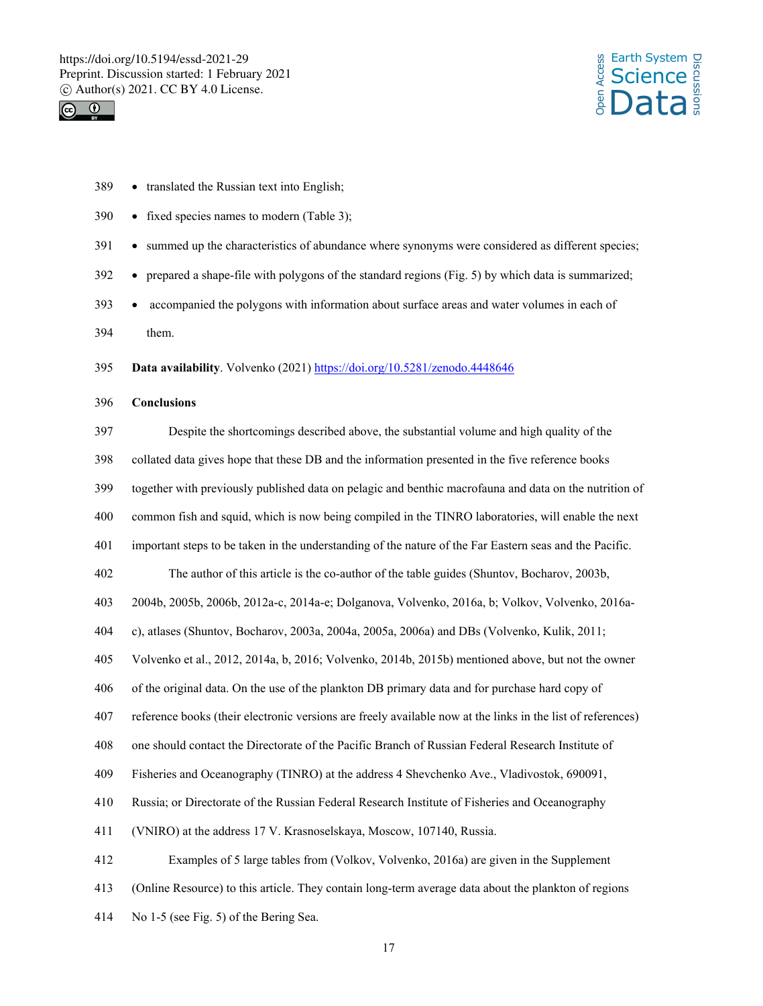



| 389 | • translated the Russian text into English;                                                                 |
|-----|-------------------------------------------------------------------------------------------------------------|
| 390 | • fixed species names to modern (Table 3);                                                                  |
| 391 | • summed up the characteristics of abundance where synonyms were considered as different species;           |
| 392 | • prepared a shape-file with polygons of the standard regions (Fig. 5) by which data is summarized;         |
| 393 | accompanied the polygons with information about surface areas and water volumes in each of                  |
| 394 | them.                                                                                                       |
| 395 | Data availability. Volvenko (2021) https://doi.org/10.5281/zenodo.4448646                                   |
| 396 | <b>Conclusions</b>                                                                                          |
| 397 | Despite the shortcomings described above, the substantial volume and high quality of the                    |
| 398 | collated data gives hope that these DB and the information presented in the five reference books            |
| 399 | together with previously published data on pelagic and benthic macrofauna and data on the nutrition of      |
| 400 | common fish and squid, which is now being compiled in the TINRO laboratories, will enable the next          |
| 401 | important steps to be taken in the understanding of the nature of the Far Eastern seas and the Pacific.     |
| 402 | The author of this article is the co-author of the table guides (Shuntov, Bocharov, 2003b,                  |
| 403 | 2004b, 2005b, 2006b, 2012a-c, 2014a-e; Dolganova, Volvenko, 2016a, b; Volkov, Volvenko, 2016a-              |
| 404 | c), atlases (Shuntov, Bocharov, 2003a, 2004a, 2005a, 2006a) and DBs (Volvenko, Kulik, 2011;                 |
| 405 | Volvenko et al., 2012, 2014a, b, 2016; Volvenko, 2014b, 2015b) mentioned above, but not the owner           |
| 406 | of the original data. On the use of the plankton DB primary data and for purchase hard copy of              |
| 407 | reference books (their electronic versions are freely available now at the links in the list of references) |
| 408 | one should contact the Directorate of the Pacific Branch of Russian Federal Research Institute of           |
| 409 | Fisheries and Oceanography (TINRO) at the address 4 Shevchenko Ave., Vladivostok, 690091,                   |
| 410 | Russia; or Directorate of the Russian Federal Research Institute of Fisheries and Oceanography              |
| 411 | (VNIRO) at the address 17 V. Krasnoselskaya, Moscow, 107140, Russia.                                        |
| 412 | Examples of 5 large tables from (Volkov, Volvenko, 2016a) are given in the Supplement                       |
| 413 | (Online Resource) to this article. They contain long-term average data about the plankton of regions        |
| 414 | No 1-5 (see Fig. 5) of the Bering Sea.                                                                      |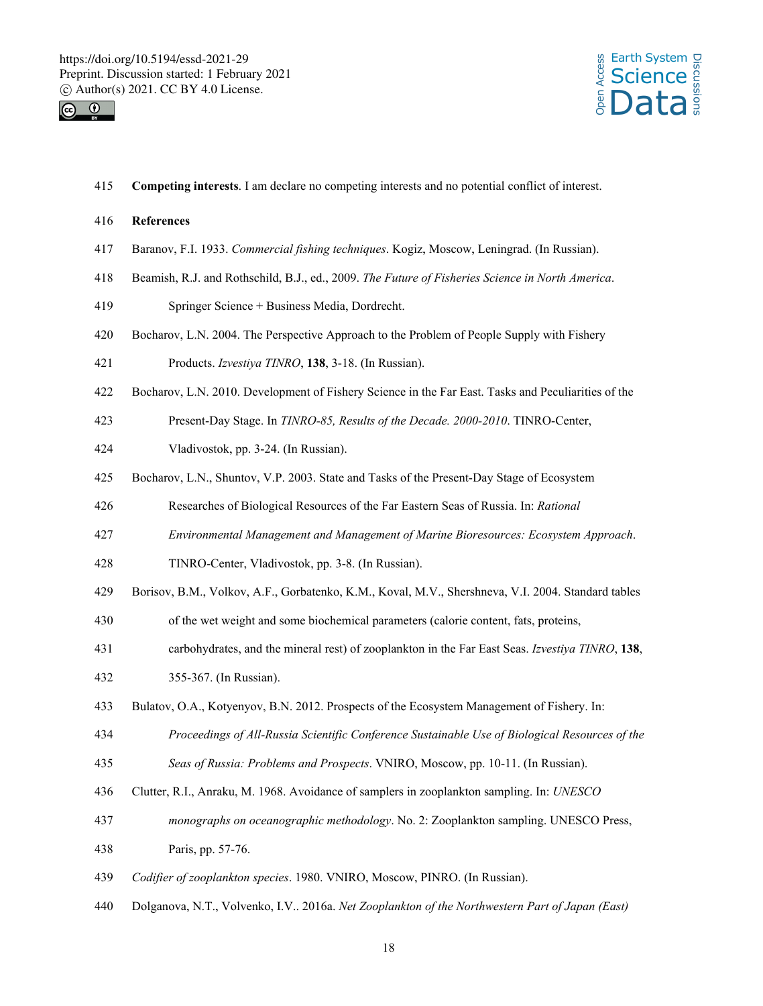



415 **Competing interests**. I am declare no competing interests and no potential conflict of interest.

### 416 **References**

- 417 Baranov, F.I. 1933. *Commercial fishing techniques*. Kogiz, Moscow, Leningrad. (In Russian).
- 418 Beamish, R.J. and Rothschild, B.J., ed., 2009. *The Future of Fisheries Science in North America*.
- 419 Springer Science + Business Media, Dordrecht.
- 420 Bocharov, L.N. 2004. The Perspective Approach to the Problem of People Supply with Fishery
- 421 Products. *Izvestiya TINRO*, **138**, 3-18. (In Russian).
- 422 Bocharov, L.N. 2010. Development of Fishery Science in the Far East. Tasks and Peculiarities of the
- 423 Present-Day Stage. In *TINRO-85, Results of the Decade. 2000-2010*. TINRO-Center,
- 424 Vladivostok, pp. 3-24. (In Russian).
- 425 Bocharov, L.N., Shuntov, V.P. 2003. State and Tasks of the Present-Day Stage of Ecosystem
- 426 Researches of Biological Resources of the Far Eastern Seas of Russia. In: *Rational*
- 427 *Environmental Management and Management of Marine Bioresources: Ecosystem Approach*.
- 428 TINRO-Center, Vladivostok, pp. 3-8. (In Russian).
- 429 Borisov, B.M., Volkov, A.F., Gorbatenko, K.M., Koval, M.V., Shershneva, V.I. 2004. Standard tables
- 430 of the wet weight and some biochemical parameters (calorie content, fats, proteins,
- 431 carbohydrates, and the mineral rest) of zooplankton in the Far East Seas. *Izvestiya TINRO*, **138**,
- 432 355-367. (In Russian).
- 433 Bulatov, O.A., Kotyenyov, B.N. 2012. Prospects of the Ecosystem Management of Fishery. In:
- 434 *Proceedings of All-Russia Scientific Conference Sustainable Use of Biological Resources of the*
- 435 *Seas of Russia: Problems and Prospects*. VNIRO, Moscow, pp. 10-11. (In Russian).
- 436 Clutter, R.I., Anraku, M. 1968. Avoidance of samplers in zooplankton sampling. In: *UNESCO*
- 437 *monographs on oceanographic methodology*. No. 2: Zooplankton sampling. UNESCO Press,
- 438 Paris, pp. 57-76.
- 439 *Codifier of zooplankton species*. 1980. VNIRO, Moscow, PINRO. (In Russian).
- 440 Dolganova, N.T., Volvenko, I.V.. 2016a. *Net Zooplankton of the Northwestern Part of Japan (East)*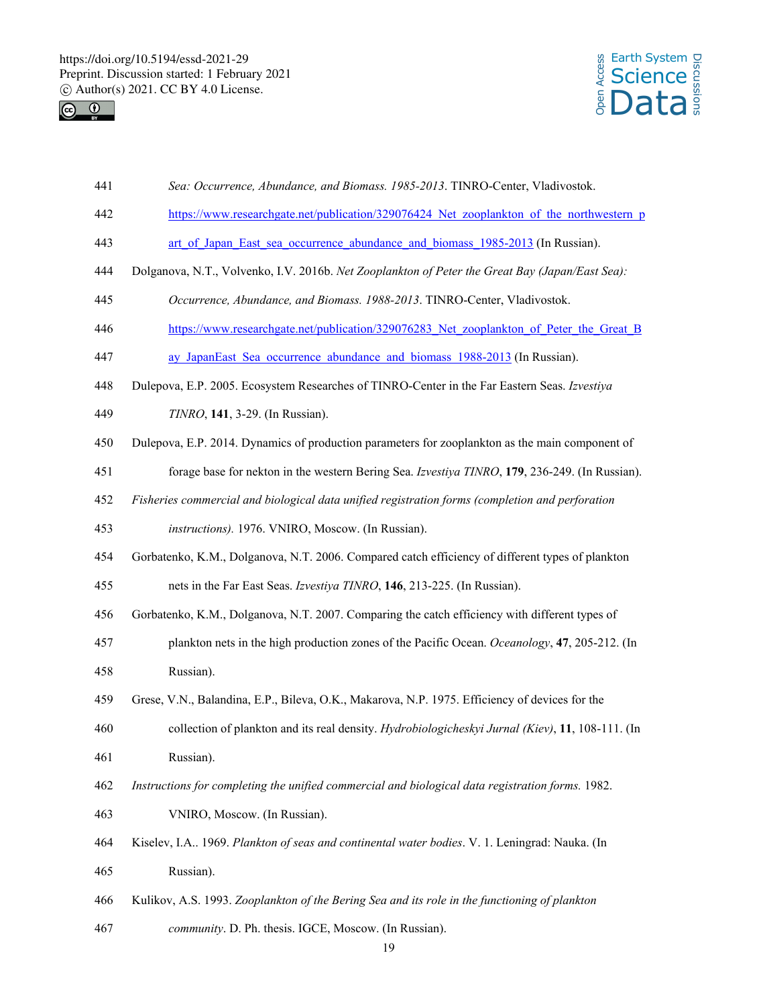



- 441 *Sea: Occurrence, Abundance, and Biomass. 1985-2013*. TINRO-Center, Vladivostok.
- 442 https://www.researchgate.net/publication/329076424 Net zooplankton of the northwestern p
- 443 art of Japan East sea occurrence abundance and biomass 1985-2013 (In Russian).
- 444 Dolganova, N.T., Volvenko, I.V. 2016b. *Net Zooplankton of Peter the Great Bay (Japan/East Sea):*
- 445 *Occurrence, Abundance, and Biomass. 1988-2013*. TINRO-Center, Vladivostok.
- 446 https://www.researchgate.net/publication/329076283 Net zooplankton of Peter the Great B
- 447 ay\_JapanEast\_Sea\_occurrence\_abundance\_and\_biomass\_1988-2013 (In Russian).
- 448 Dulepova, E.P. 2005. Ecosystem Researches of TINRO-Center in the Far Eastern Seas. *Izvestiya*
- 449 *TINRO*, **141**, 3-29. (In Russian).
- 450 Dulepova, E.P. 2014. Dynamics of production parameters for zooplankton as the main component of
- 451 forage base for nekton in the western Bering Sea. *Izvestiya TINRO*, **179**, 236-249. (In Russian).
- 452 *Fisheries commercial and biological data unified registration forms (completion and perforation*
- 453 *instructions).* 1976. VNIRO, Moscow. (In Russian).
- 454 Gorbatenko, K.M., Dolganova, N.T. 2006. Compared catch efficiency of different types of plankton
- 455 nets in the Far East Seas. *Izvestiya TINRO*, **146**, 213-225. (In Russian).
- 456 Gorbatenko, K.M., Dolganova, N.T. 2007. Comparing the catch efficiency with different types of
- 457 plankton nets in the high production zones of the Pacific Ocean. *Oceanology*, **47**, 205-212. (In 458 Russian).
- 459 Grese, V.N., Balandina, E.P., Bileva, O.K., Makarova, N.P. 1975. Efficiency of devices for the 460 collection of plankton and its real density. *Hydrobiologicheskyi Jurnal (Kiev)*, **11**, 108-111. (In
- 461 Russian).
- 462 *Instructions for completing the unified commercial and biological data registration forms.* 1982.
- 463 VNIRO, Moscow. (In Russian).
- 464 Kiselev, I.A.. 1969. *Plankton of seas and continental water bodies*. V. 1. Leningrad: Nauka. (In 465 Russian).
- 466 Kulikov, A.S. 1993. *Zooplankton of the Bering Sea and its role in the functioning of plankton*
- 467 *community*. D. Ph. thesis. IGCE, Moscow. (In Russian).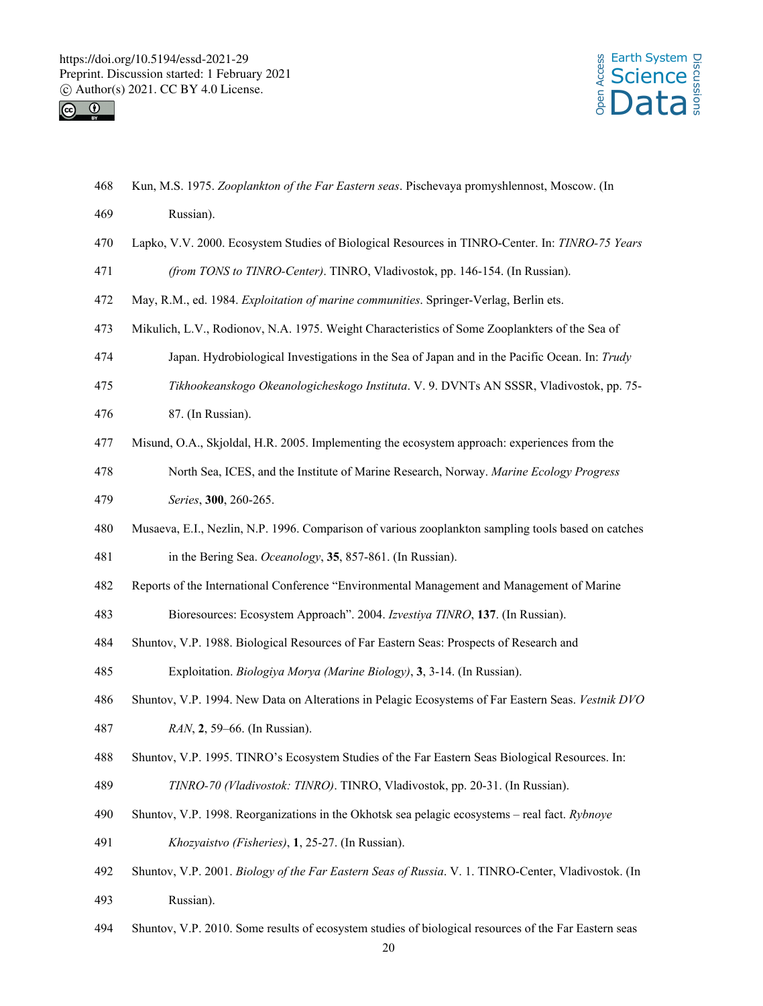



- 468 Kun, M.S. 1975. *Zooplankton of the Far Eastern seas*. Pischevaya promyshlennost, Moscow. (In
- 469 Russian).
- 470 Lapko, V.V. 2000. Ecosystem Studies of Biological Resources in TINRO-Center. In: *TINRO-75 Years*
- 471 *(from TONS to TINRO-Center)*. TINRO, Vladivostok, pp. 146-154. (In Russian).
- 472 May, R.M., ed. 1984. *Exploitation of marine communities*. Springer-Verlag, Berlin ets.
- 473 Mikulich, L.V., Rodionov, N.A. 1975. Weight Characteristics of Some Zooplankters of the Sea of
- 474 Japan. Hydrobiological Investigations in the Sea of Japan and in the Pacific Ocean. In: *Trudy*
- 475 *Tikhookeanskogo Okeanologicheskogo Instituta*. V. 9. DVNTs AN SSSR, Vladivostok, pp. 75-
- 476 87. (In Russian).
- 477 Misund, O.A., Skjoldal, H.R. 2005. Implementing the ecosystem approach: experiences from the
- 478 North Sea, ICES, and the Institute of Marine Research, Norway. *Marine Ecology Progress*
- 479 *Series*, **300**, 260-265.
- 480 Musaeva, E.I., Nezlin, N.P. 1996. Comparison of various zooplankton sampling tools based on catches 481 in the Bering Sea. *Oceanology*, **35**, 857-861. (In Russian).
- 482 Reports of the International Conference "Environmental Management and Management of Marine
- 483 Bioresources: Ecosystem Approach". 2004. *Izvestiya TINRO*, **137**. (In Russian).
- 484 Shuntov, V.P. 1988. Biological Resources of Far Eastern Seas: Prospects of Research and
- 485 Exploitation. *Biologiya Morya (Marine Biology)*, **3**, 3-14. (In Russian).
- 486 Shuntov, V.P. 1994. New Data on Alterations in Pelagic Ecosystems of Far Eastern Seas. *Vestnik DVO*
- 487 *RAN*, **2**, 59–66. (In Russian).
- 488 Shuntov, V.P. 1995. TINRO's Ecosystem Studies of the Far Eastern Seas Biological Resources. In:
- 489 *TINRO-70 (Vladivostok: TINRO)*. TINRO, Vladivostok, pp. 20-31. (In Russian).
- 490 Shuntov, V.P. 1998. Reorganizations in the Okhotsk sea pelagic ecosystems real fact. *Rybnoye*
- 491 *Khozyaistvo (Fisheries)*, **1**, 25-27. (In Russian).
- 492 Shuntov, V.P. 2001. *Biology of the Far Eastern Seas of Russia*. V. 1. TINRO-Center, Vladivostok. (In
- 493 Russian).
- 494 Shuntov, V.P. 2010. Some results of ecosystem studies of biological resources of the Far Eastern seas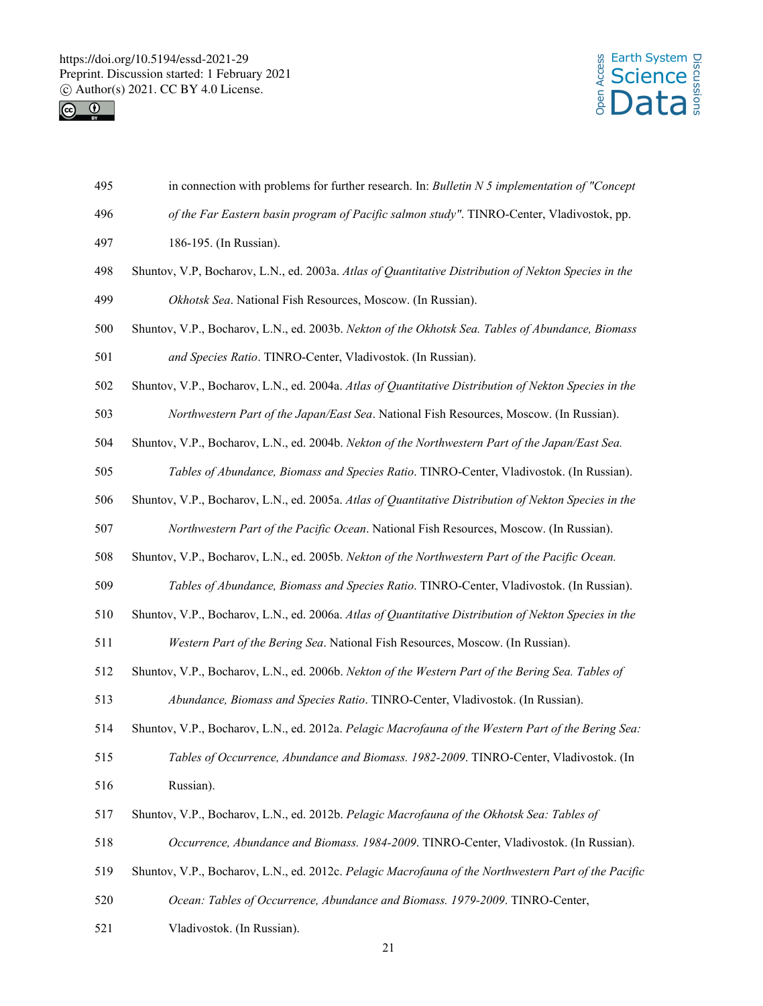



- 495 in connection with problems for further research. In: *Bulletin N 5 implementation of "Concept*
- 496 *of the Far Eastern basin program of Pacific salmon study"*. TINRO-Center, Vladivostok, pp.
- 497 186-195. (In Russian).
- 498 Shuntov, V.P, Bocharov, L.N., ed. 2003a. *Atlas of Quantitative Distribution of Nekton Species in the*  499 *Okhotsk Sea*. National Fish Resources, Moscow. (In Russian).
- 500 Shuntov, V.P., Bocharov, L.N., ed. 2003b. *Nekton of the Okhotsk Sea. Tables of Abundance, Biomass*

501 *and Species Ratio*. TINRO-Center, Vladivostok. (In Russian).

- 502 Shuntov, V.P., Bocharov, L.N., ed. 2004a. *Atlas of Quantitative Distribution of Nekton Species in the*  503 *Northwestern Part of the Japan/East Sea*. National Fish Resources, Moscow. (In Russian).
- 504 Shuntov, V.P., Bocharov, L.N., ed. 2004b. *Nekton of the Northwestern Part of the Japan/East Sea.*
- 505 *Tables of Abundance, Biomass and Species Ratio*. TINRO-Center, Vladivostok. (In Russian).
- 506 Shuntov, V.P., Bocharov, L.N., ed. 2005a. *Atlas of Quantitative Distribution of Nekton Species in the*  507 *Northwestern Part of the Pacific Ocean*. National Fish Resources, Moscow. (In Russian).
- 508 Shuntov, V.P., Bocharov, L.N., ed. 2005b. *Nekton of the Northwestern Part of the Pacific Ocean.*
- 509 *Tables of Abundance, Biomass and Species Ratio*. TINRO-Center, Vladivostok. (In Russian).
- 510 Shuntov, V.P., Bocharov, L.N., ed. 2006a. *Atlas of Quantitative Distribution of Nekton Species in the*
- 511 *Western Part of the Bering Sea*. National Fish Resources, Moscow. (In Russian).
- 512 Shuntov, V.P., Bocharov, L.N., ed. 2006b. *Nekton of the Western Part of the Bering Sea. Tables of*  513 *Abundance, Biomass and Species Ratio*. TINRO-Center, Vladivostok. (In Russian).
- 514 Shuntov, V.P., Bocharov, L.N., ed. 2012a. *Pelagic Macrofauna of the Western Part of the Bering Sea:*
- 515 *Tables of Occurrence, Abundance and Biomass. 1982-2009*. TINRO-Center, Vladivostok. (In 516 Russian).
- 517 Shuntov, V.P., Bocharov, L.N., ed. 2012b. *Pelagic Macrofauna of the Okhotsk Sea: Tables of*
- 518 *Occurrence, Abundance and Biomass. 1984-2009*. TINRO-Center, Vladivostok. (In Russian).
- 519 Shuntov, V.P., Bocharov, L.N., ed. 2012c. *Pelagic Macrofauna of the Northwestern Part of the Pacific*
- 520 *Ocean: Tables of Occurrence, Abundance and Biomass. 1979-2009*. TINRO-Center,
- 521 Vladivostok. (In Russian).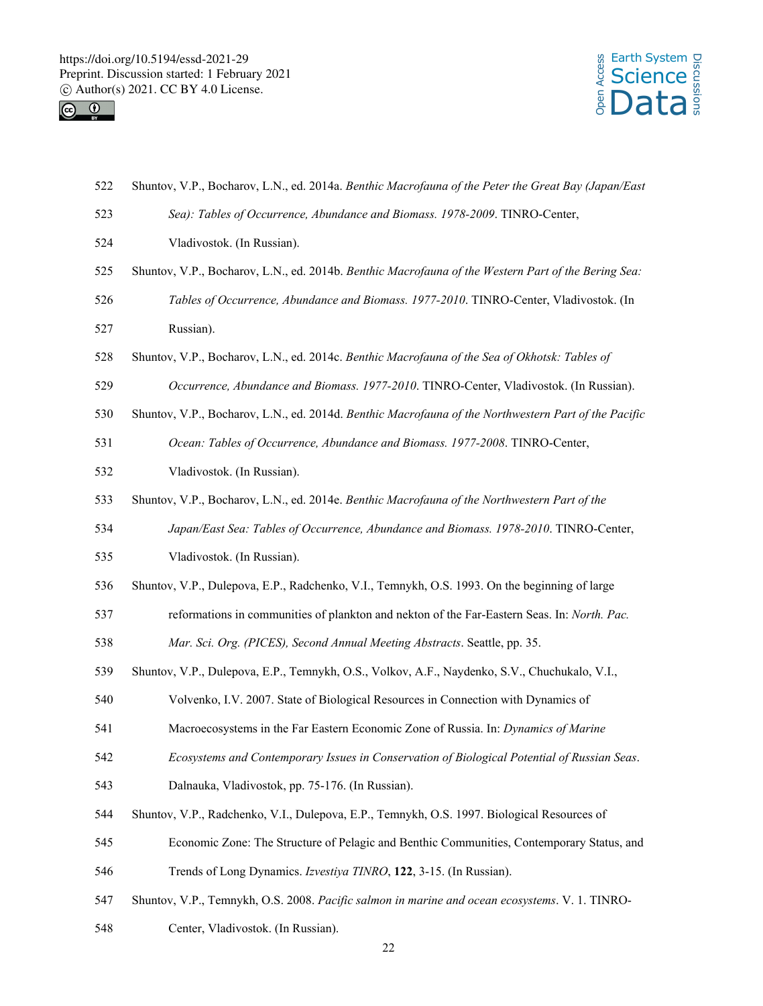



- 522 Shuntov, V.P., Bocharov, L.N., ed. 2014a. *Benthic Macrofauna of the Peter the Great Bay (Japan/East*
- 523 *Sea): Tables of Occurrence, Abundance and Biomass. 1978-2009*. TINRO-Center,
- 524 Vladivostok. (In Russian).
- 525 Shuntov, V.P., Bocharov, L.N., ed. 2014b. *Benthic Macrofauna of the Western Part of the Bering Sea:*  526 *Tables of Occurrence, Abundance and Biomass. 1977-2010*. TINRO-Center, Vladivostok. (In 527 Russian).
- 528 Shuntov, V.P., Bocharov, L.N., ed. 2014c. *Benthic Macrofauna of the Sea of Okhotsk: Tables of*
- 529 *Occurrence, Abundance and Biomass. 1977-2010*. TINRO-Center, Vladivostok. (In Russian).
- 530 Shuntov, V.P., Bocharov, L.N., ed. 2014d. *Benthic Macrofauna of the Northwestern Part of the Pacific*
- 531 *Ocean: Tables of Occurrence, Abundance and Biomass. 1977-2008*. TINRO-Center,
- 532 Vladivostok. (In Russian).
- 533 Shuntov, V.P., Bocharov, L.N., ed. 2014e. *Benthic Macrofauna of the Northwestern Part of the*
- 534 *Japan/East Sea: Tables of Occurrence, Abundance and Biomass. 1978-2010*. TINRO-Center,
- 535 Vladivostok. (In Russian).
- 536 Shuntov, V.P., Dulepova, E.P., Radchenko, V.I., Temnykh, O.S. 1993. On the beginning of large
- 537 reformations in communities of plankton and nekton of the Far-Eastern Seas. In: *North. Pac.*
- 538 *Mar. Sci. Org. (PICES), Second Annual Meeting Abstracts*. Seattle, pp. 35.
- 539 Shuntov, V.P., Dulepova, E.P., Temnykh, O.S., Volkov, A.F., Naydenko, S.V., Chuchukalo, V.I.,
- 540 Volvenko, I.V. 2007. State of Biological Resources in Connection with Dynamics of
- 541 Macroecosystems in the Far Eastern Economic Zone of Russia. In: *Dynamics of Marine*
- 542 *Ecosystems and Contemporary Issues in Conservation of Biological Potential of Russian Seas*.
- 543 Dalnauka, Vladivostok, pp. 75-176. (In Russian).
- 544 Shuntov, V.P., Radchenko, V.I., Dulepova, E.P., Temnykh, O.S. 1997. Biological Resources of
- 545 Economic Zone: The Structure of Pelagic and Benthic Communities, Contemporary Status, and
- 546 Trends of Long Dynamics. *Izvestiya TINRO*, **122**, 3-15. (In Russian).
- 547 Shuntov, V.P., Temnykh, O.S. 2008. *Pacific salmon in marine and ocean ecosystems*. V. 1. TINRO-
- 548 Center, Vladivostok. (In Russian).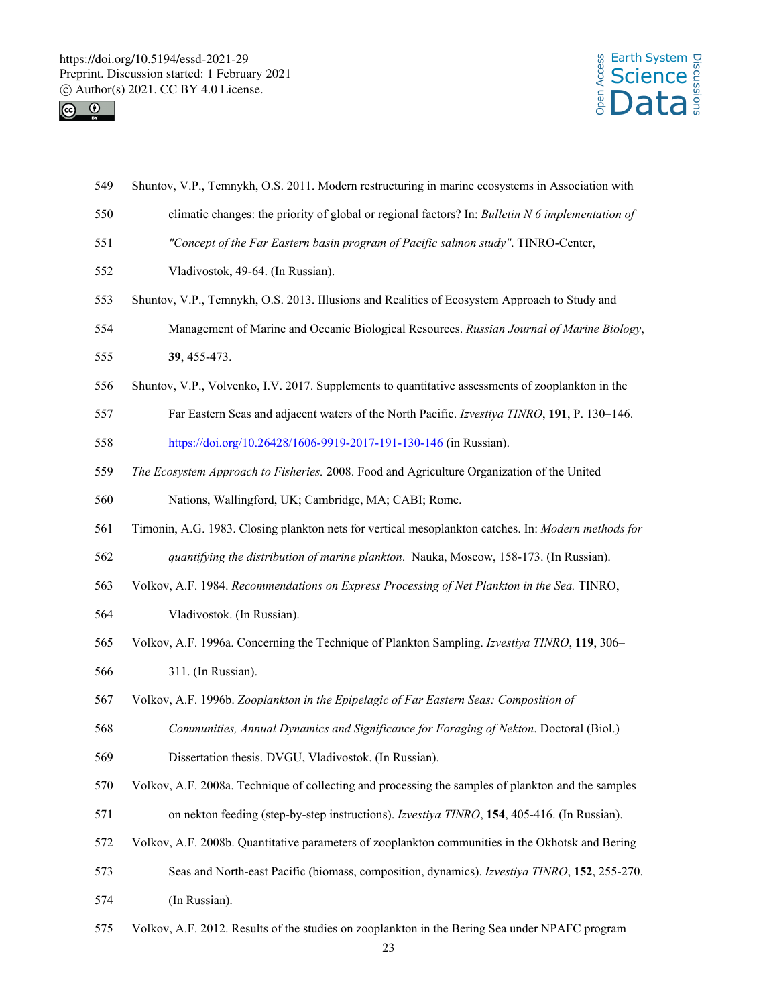



- 549 Shuntov, V.P., Temnykh, O.S. 2011. Modern restructuring in marine ecosystems in Association with
- 550 climatic changes: the priority of global or regional factors? In: *Bulletin N 6 implementation of*
- 551 *"Concept of the Far Eastern basin program of Pacific salmon study"*. TINRO-Center,
- 552 Vladivostok, 49-64. (In Russian).
- 553 Shuntov, V.P., Temnykh, O.S. 2013. Illusions and Realities of Ecosystem Approach to Study and
- 554 Management of Marine and Oceanic Biological Resources. *Russian Journal of Marine Biology*,
- 555 **39**, 455-473.
- 556 Shuntov, V.P., Volvenko, I.V. 2017. Supplements to quantitative assessments of zooplankton in the
- 557 Far Eastern Seas and adjacent waters of the North Pacific. *Izvestiya TINRO*, **191**, P. 130–146.

558 https://doi.org/10.26428/1606-9919-2017-191-130-146 (in Russian).

559 *The Ecosystem Approach to Fisheries.* 2008. Food and Agriculture Organization of the United

560 Nations, Wallingford, UK; Cambridge, MA; CABI; Rome.

- 561 Timonin, A.G. 1983. Closing plankton nets for vertical mesoplankton catches. In: *Modern methods for*
- 562 *quantifying the distribution of marine plankton*. Nauka, Moscow, 158-173. (In Russian).
- 563 Volkov, A.F. 1984. *Recommendations on Express Processing of Net Plankton in the Sea.* TINRO,
- 564 Vladivostok. (In Russian).
- 565 Volkov, A.F. 1996a. Concerning the Technique of Plankton Sampling. *Izvestiya TINRO*, **119**, 306–
- 566 311. (In Russian).
- 567 Volkov, A.F. 1996b. *Zooplankton in the Epipelagic of Far Eastern Seas: Composition of*
- 568 *Communities, Annual Dynamics and Significance for Foraging of Nekton*. Doctoral (Biol.)
- 569 Dissertation thesis. DVGU, Vladivostok. (In Russian).
- 570 Volkov, A.F. 2008a. Technique of collecting and processing the samples of plankton and the samples
- 571 on nekton feeding (step-by-step instructions). *Izvestiya TINRO*, **154**, 405-416. (In Russian).
- 572 Volkov, A.F. 2008b. Quantitative parameters of zooplankton communities in the Okhotsk and Bering
- 573 Seas and North-east Pacific (biomass, composition, dynamics). *Izvestiya TINRO*, **152**, 255-270.
- 574 (In Russian).
- 575 Volkov, A.F. 2012. Results of the studies on zooplankton in the Bering Sea under NPAFC program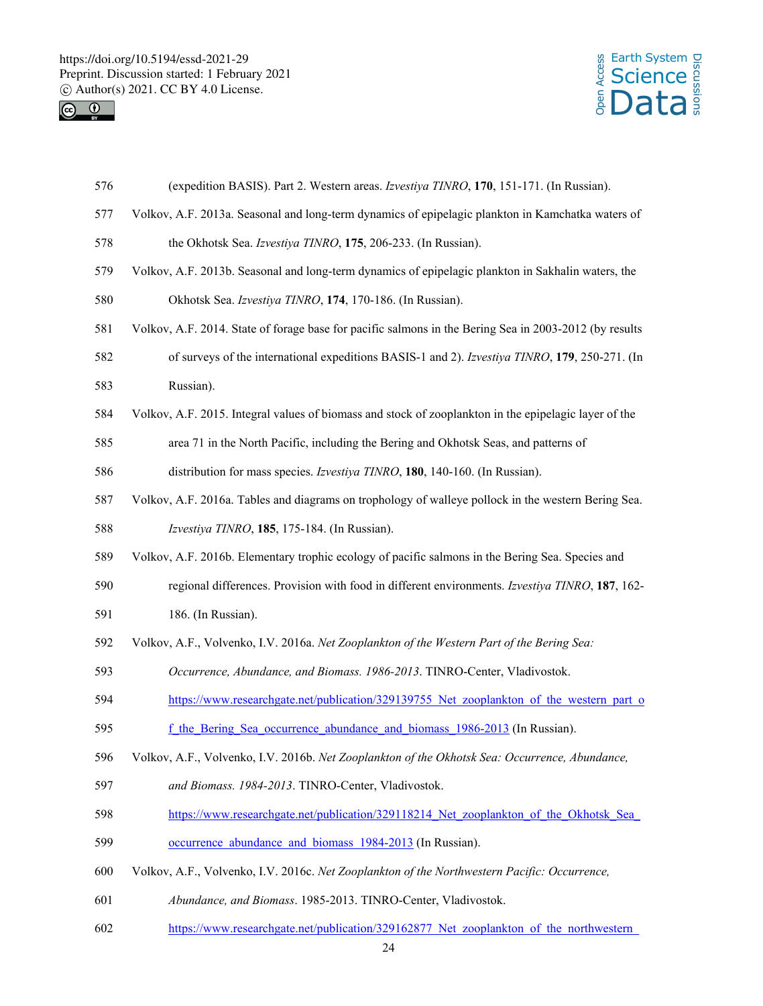



- 576 (expedition BASIS). Part 2. Western areas. *Izvestiya TINRO*, **170**, 151-171. (In Russian).
- 577 Volkov, A.F. 2013a. Seasonal and long-term dynamics of epipelagic plankton in Kamchatka waters of
- 578 the Okhotsk Sea. *Izvestiya TINRO*, **175**, 206-233. (In Russian).
- 579 Volkov, A.F. 2013b. Seasonal and long-term dynamics of epipelagic plankton in Sakhalin waters, the
- 580 Okhotsk Sea. *Izvestiya TINRO*, **174**, 170-186. (In Russian).
- 581 Volkov, A.F. 2014. State of forage base for pacific salmons in the Bering Sea in 2003-2012 (by results
- 582 of surveys of the international expeditions BASIS-1 and 2). *Izvestiya TINRO*, **179**, 250-271. (In
- 583 Russian).
- 584 Volkov, A.F. 2015. Integral values of biomass and stock of zooplankton in the epipelagic layer of the
- 585 area 71 in the North Pacific, including the Bering and Okhotsk Seas, and patterns of
- 586 distribution for mass species. *Izvestiya TINRO*, **180**, 140-160. (In Russian).
- 587 Volkov, A.F. 2016a. Tables and diagrams on trophology of walleye pollock in the western Bering Sea.
- 588 *Izvestiya TINRO*, **185**, 175-184. (In Russian).
- 589 Volkov, A.F. 2016b. Elementary trophic ecology of pacific salmons in the Bering Sea. Species and
- 590 regional differences. Provision with food in different environments. *Izvestiya TINRO*, **187**, 162-
- 591 186. (In Russian).
- 592 Volkov, A.F., Volvenko, I.V. 2016a. *Net Zooplankton of the Western Part of the Bering Sea:*
- 593 *Occurrence, Abundance, and Biomass. 1986-2013*. TINRO-Center, Vladivostok.
- 594 https://www.researchgate.net/publication/329139755 Net zooplankton of the western part of
- 595 f the Bering Sea occurrence abundance and biomass 1986-2013 (In Russian).
- 596 Volkov, A.F., Volvenko, I.V. 2016b. *Net Zooplankton of the Okhotsk Sea: Occurrence, Abundance,*
- 597 *and Biomass. 1984-2013*. TINRO-Center, Vladivostok.
- 598 https://www.researchgate.net/publication/329118214 Net zooplankton of the Okhotsk Sea
- 599 occurrence abundance and biomass 1984-2013 (In Russian).
- 600 Volkov, A.F., Volvenko, I.V. 2016c. *Net Zooplankton of the Northwestern Pacific: Occurrence,*
- 601 *Abundance, and Biomass*. 1985-2013. TINRO-Center, Vladivostok.
- 602 https://www.researchgate.net/publication/329162877 Net zooplankton of the northwestern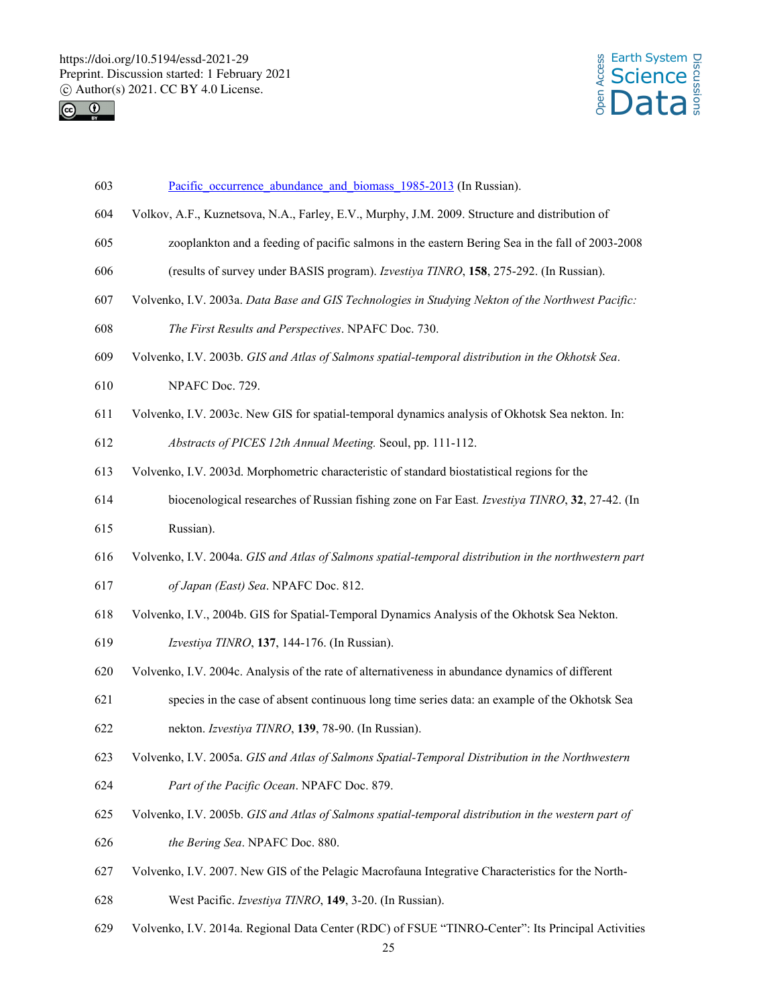



- 603 Pacific occurrence abundance and biomass 1985-2013 (In Russian).
- 604 Volkov, A.F., Kuznetsova, N.A., Farley, E.V., Murphy, J.M. 2009. Structure and distribution of
- 605 zooplankton and a feeding of pacific salmons in the eastern Bering Sea in the fall of 2003-2008
- 606 (results of survey under BASIS program). *Izvestiya TINRO*, **158**, 275-292. (In Russian).
- 607 Volvenko, I.V. 2003a. *Data Base and GIS Technologies in Studying Nekton of the Northwest Pacific:*
- 608 *The First Results and Perspectives*. NPAFC Doc. 730.
- 609 Volvenko, I.V. 2003b. *GIS and Atlas of Salmons spatial-temporal distribution in the Okhotsk Sea*.
- 610 NPAFC Doc. 729.
- 611 Volvenko, I.V. 2003c. New GIS for spatial-temporal dynamics analysis of Okhotsk Sea nekton. In:
- 612 *Abstracts of PICES 12th Annual Meeting.* Seoul, pp. 111-112.
- 613 Volvenko, I.V. 2003d. Morphometric characteristic of standard biostatistical regions for the
- 614 biocenological researches of Russian fishing zone on Far East*. Izvestiya TINRO*, **32**, 27-42. (In 615 Russian).
- 616 Volvenko, I.V. 2004a. *GIS and Atlas of Salmons spatial-temporal distribution in the northwestern part*
- 617 *of Japan (East) Sea*. NPAFC Doc. 812.
- 618 Volvenko, I.V., 2004b. GIS for Spatial-Temporal Dynamics Analysis of the Okhotsk Sea Nekton.
- 619 *Izvestiya TINRO*, **137**, 144-176. (In Russian).
- 620 Volvenko, I.V. 2004c. Analysis of the rate of alternativeness in abundance dynamics of different
- 621 species in the case of absent continuous long time series data: an example of the Okhotsk Sea 622 nekton. *Izvestiya TINRO*, **139**, 78-90. (In Russian).
- 623 Volvenko, I.V. 2005a. *GIS and Atlas of Salmons Spatial-Temporal Distribution in the Northwestern*  624 *Part of the Pacific Ocean*. NPAFC Doc. 879.
- 625 Volvenko, I.V. 2005b. *GIS and Atlas of Salmons spatial-temporal distribution in the western part of*  626 *the Bering Sea*. NPAFC Doc. 880.
- 627 Volvenko, I.V. 2007. New GIS of the Pelagic Macrofauna Integrative Characteristics for the North-
- 628 West Pacific. *Izvestiya TINRO*, **149**, 3-20. (In Russian).
- 629 Volvenko, I.V. 2014a. Regional Data Center (RDC) of FSUE "TINRO-Center": Its Principal Activities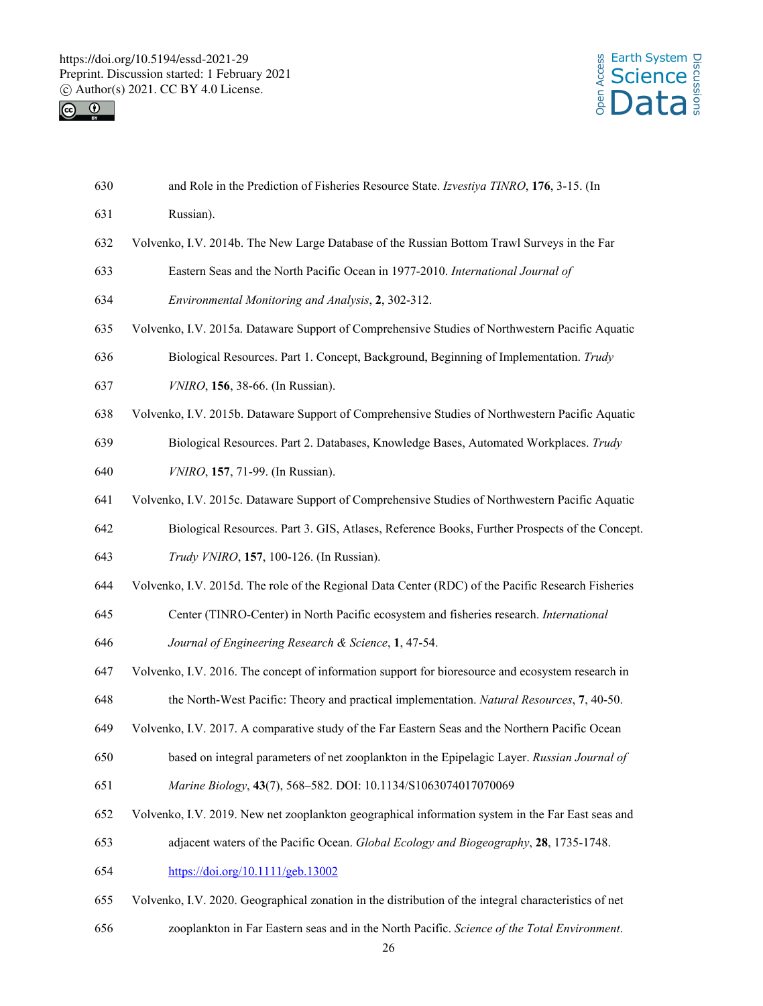



| 630 | and Role in the Prediction of Fisheries Resource State. Izvestiya TINRO, 176, 3-15. (In               |  |  |  |  |  |
|-----|-------------------------------------------------------------------------------------------------------|--|--|--|--|--|
| 631 | Russian).                                                                                             |  |  |  |  |  |
| 632 | Volvenko, I.V. 2014b. The New Large Database of the Russian Bottom Trawl Surveys in the Far           |  |  |  |  |  |
| 633 | Eastern Seas and the North Pacific Ocean in 1977-2010. International Journal of                       |  |  |  |  |  |
| 634 | Environmental Monitoring and Analysis, 2, 302-312.                                                    |  |  |  |  |  |
| 635 | Volvenko, I.V. 2015a. Dataware Support of Comprehensive Studies of Northwestern Pacific Aquatic       |  |  |  |  |  |
| 636 | Biological Resources. Part 1. Concept, Background, Beginning of Implementation. Trudy                 |  |  |  |  |  |
| 637 | VNIRO, 156, 38-66. (In Russian).                                                                      |  |  |  |  |  |
| 638 | Volvenko, I.V. 2015b. Dataware Support of Comprehensive Studies of Northwestern Pacific Aquatic       |  |  |  |  |  |
| 639 | Biological Resources. Part 2. Databases, Knowledge Bases, Automated Workplaces. Trudy                 |  |  |  |  |  |
| 640 | VNIRO, 157, 71-99. (In Russian).                                                                      |  |  |  |  |  |
| 641 | Volvenko, I.V. 2015c. Dataware Support of Comprehensive Studies of Northwestern Pacific Aquatic       |  |  |  |  |  |
| 642 | Biological Resources. Part 3. GIS, Atlases, Reference Books, Further Prospects of the Concept.        |  |  |  |  |  |
| 643 | Trudy VNIRO, 157, 100-126. (In Russian).                                                              |  |  |  |  |  |
| 644 | Volvenko, I.V. 2015d. The role of the Regional Data Center (RDC) of the Pacific Research Fisheries    |  |  |  |  |  |
| 645 | Center (TINRO-Center) in North Pacific ecosystem and fisheries research. International                |  |  |  |  |  |
| 646 | Journal of Engineering Research & Science, 1, 47-54.                                                  |  |  |  |  |  |
| 647 | Volvenko, I.V. 2016. The concept of information support for bioresource and ecosystem research in     |  |  |  |  |  |
| 648 | the North-West Pacific: Theory and practical implementation. Natural Resources, 7, 40-50.             |  |  |  |  |  |
| 649 | Volvenko, I.V. 2017. A comparative study of the Far Eastern Seas and the Northern Pacific Ocean       |  |  |  |  |  |
| 650 | based on integral parameters of net zooplankton in the Epipelagic Layer. Russian Journal of           |  |  |  |  |  |
| 651 | Marine Biology, 43(7), 568-582. DOI: 10.1134/S1063074017070069                                        |  |  |  |  |  |
| 652 | Volvenko, I.V. 2019. New net zooplankton geographical information system in the Far East seas and     |  |  |  |  |  |
| 653 | adjacent waters of the Pacific Ocean. Global Ecology and Biogeography, 28, 1735-1748.                 |  |  |  |  |  |
| 654 | https://doi.org/10.1111/geb.13002                                                                     |  |  |  |  |  |
| 655 | Volvenko, I.V. 2020. Geographical zonation in the distribution of the integral characteristics of net |  |  |  |  |  |
|     |                                                                                                       |  |  |  |  |  |

656 zooplankton in Far Eastern seas and in the North Pacific. *Science of the Total Environment*.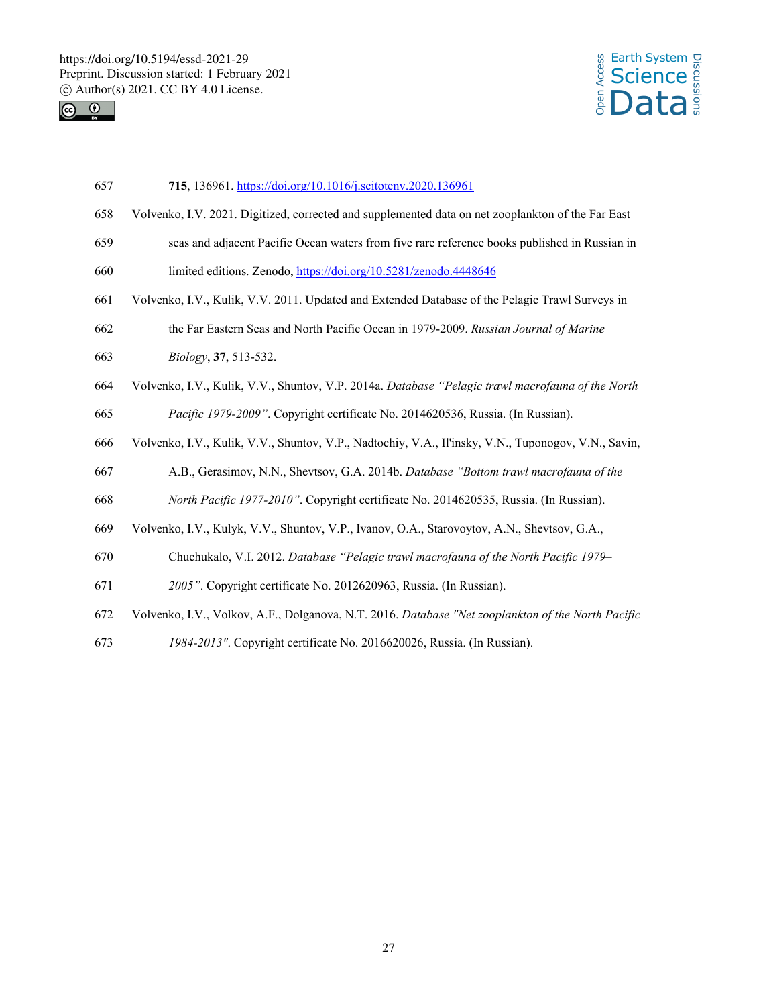



- 657 **715**, 136961. https://doi.org/10.1016/j.scitotenv.2020.136961
- 658 Volvenko, I.V. 2021. Digitized, corrected and supplemented data on net zooplankton of the Far East
- 659 seas and adjacent Pacific Ocean waters from five rare reference books published in Russian in
- 660 limited editions. Zenodo, https://doi.org/10.5281/zenodo.4448646
- 661 Volvenko, I.V., Kulik, V.V. 2011. Updated and Extended Database of the Pelagic Trawl Surveys in
- 662 the Far Eastern Seas and North Pacific Ocean in 1979-2009. *Russian Journal of Marine*
- 663 *Biology*, **37**, 513-532.
- 664 Volvenko, I.V., Kulik, V.V., Shuntov, V.P. 2014a. *Database "Pelagic trawl macrofauna of the North*  665 *Pacific 1979-2009"*. Copyright certificate No. 2014620536, Russia. (In Russian).
- 666 Volvenko, I.V., Kulik, V.V., Shuntov, V.P., Nadtochiy, V.A., Il'insky, V.N., Tuponogov, V.N., Savin,
- 667 A.B., Gerasimov, N.N., Shevtsov, G.A. 2014b. *Database "Bottom trawl macrofauna of the*
- 668 *North Pacific 1977-2010"*. Copyright certificate No. 2014620535, Russia. (In Russian).
- 669 Volvenko, I.V., Kulyk, V.V., Shuntov, V.P., Ivanov, O.A., Starovoytov, A.N., Shevtsov, G.A.,
- 670 Chuchukalo, V.I. 2012. *Database "Pelagic trawl macrofauna of the North Pacific 1979–*
- 671 *2005"*. Copyright certificate No. 2012620963, Russia. (In Russian).
- 672 Volvenko, I.V., Volkov, A.F., Dolganova, N.T. 2016. *Database "Net zooplankton of the North Pacific*
- 673 *1984-2013"*. Copyright certificate No. 2016620026, Russia. (In Russian).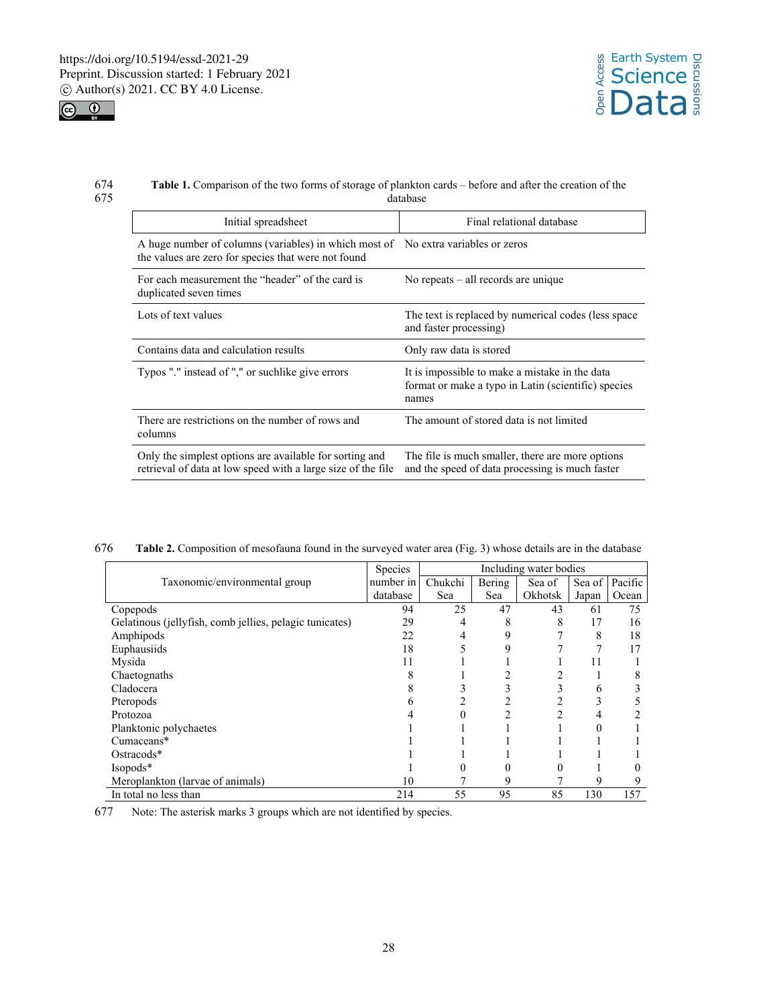



### 674 **Table 1.** Comparison of the two forms of storage of plankton cards – before and after the creation of the database

| Initial spreadsheet                                                                                                     | Final relational database                                                                                      |  |  |
|-------------------------------------------------------------------------------------------------------------------------|----------------------------------------------------------------------------------------------------------------|--|--|
| A huge number of columns (variables) in which most of<br>the values are zero for species that were not found            | No extra variables or zeros                                                                                    |  |  |
| For each measurement the "header" of the card is<br>duplicated seven times                                              | No repeats $-$ all records are unique                                                                          |  |  |
| Lots of text values                                                                                                     | The text is replaced by numerical codes (less space<br>and faster processing)                                  |  |  |
| Contains data and calculation results                                                                                   | Only raw data is stored                                                                                        |  |  |
| Typos "." instead of "," or suchlike give errors                                                                        | It is impossible to make a mistake in the data<br>format or make a typo in Latin (scientific) species<br>names |  |  |
| There are restrictions on the number of rows and<br>columns                                                             | The amount of stored data is not limited                                                                       |  |  |
| Only the simplest options are available for sorting and<br>retrieval of data at low speed with a large size of the file | The file is much smaller, there are more options<br>and the speed of data processing is much faster            |  |  |

| 676 |  |  | Table 2. Composition of mesofauna found in the surveyed water area (Fig. 3) whose details are in the database |
|-----|--|--|---------------------------------------------------------------------------------------------------------------|
|     |  |  |                                                                                                               |

|                                                         | Species   | Including water bodies |        |         |        |         |  |
|---------------------------------------------------------|-----------|------------------------|--------|---------|--------|---------|--|
| Taxonomic/environmental group                           | number in | Chukchi                | Bering | Sea of  | Sea of | Pacific |  |
|                                                         | database  | Sea                    | Sea    | Okhotsk | Japan  | Ocean   |  |
| Copepods                                                | 94        | 25                     | 47     | 43      | 61     | 75      |  |
| Gelatinous (jellyfish, comb jellies, pelagic tunicates) | 29        | 4                      | 8      | 8       | 17     | 16      |  |
| Amphipods                                               | 22        |                        | 9      |         | 8      | 18      |  |
| Euphausiids                                             | 18        |                        | 9      |         |        | 17      |  |
| Mysida                                                  | 11        |                        |        |         |        |         |  |
| Chaetognaths                                            |           |                        |        |         |        |         |  |
| Cladocera                                               |           |                        |        |         | 6      |         |  |
| Pteropods                                               |           |                        |        |         |        |         |  |
| Protozoa                                                |           |                        |        |         | 4      |         |  |
| Planktonic polychaetes                                  |           |                        |        |         |        |         |  |
| Cumaceans*                                              |           |                        |        |         |        |         |  |
| Ostracods*                                              |           |                        |        |         |        |         |  |
| Isopods*                                                |           |                        |        |         |        |         |  |
| Meroplankton (larvae of animals)                        | 10        |                        | 9      |         | 9      |         |  |
| In total no less than                                   | 214       | 55                     | 95     | 85      | 130    | 157     |  |

677 Note: The asterisk marks 3 groups which are not identified by species.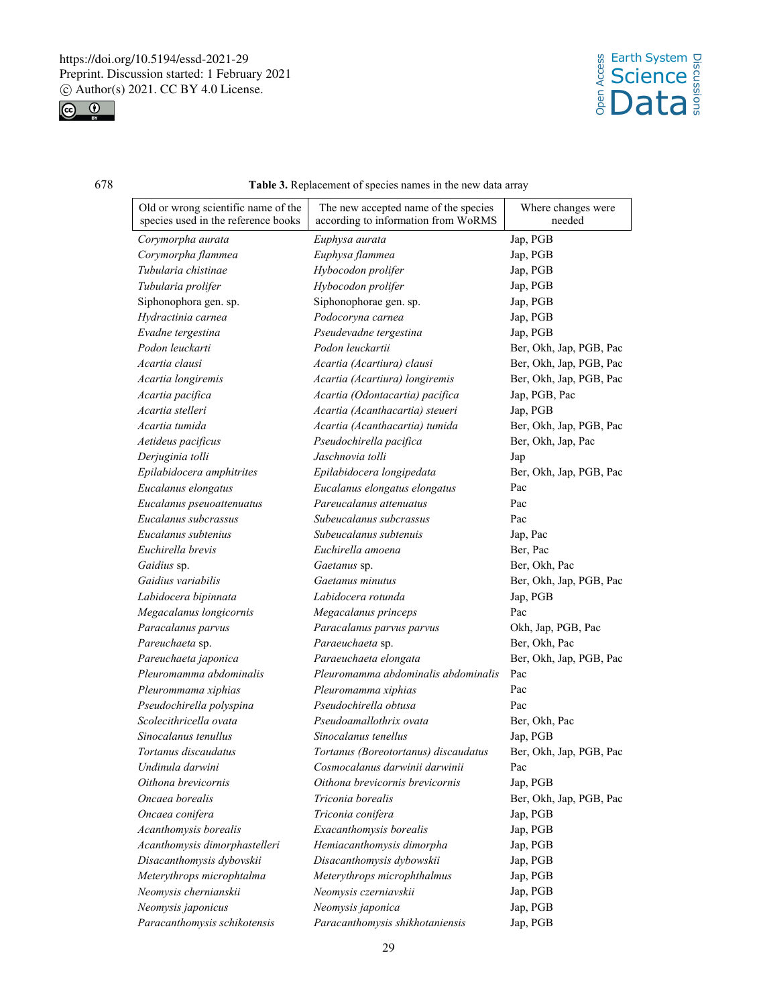

# 678 **Table 3.** Replacement of species names in the new data array

| Old or wrong scientific name of the<br>species used in the reference books | The new accepted name of the species<br>according to information from WoRMS | Where changes were<br>needed |
|----------------------------------------------------------------------------|-----------------------------------------------------------------------------|------------------------------|
| Corymorpha aurata                                                          | Euphysa aurata                                                              | Jap, PGB                     |
| Corymorpha flammea                                                         | Euphysa flammea                                                             | Jap, PGB                     |
| Tubularia chistinae                                                        | Hybocodon prolifer                                                          | Jap, PGB                     |
| Tubularia prolifer                                                         | Hybocodon prolifer                                                          | Jap, PGB                     |
| Siphonophora gen. sp.                                                      | Siphonophorae gen. sp.                                                      | Jap, PGB                     |
| Hydractinia carnea                                                         | Podocoryna carnea                                                           | Jap, PGB                     |
| Evadne tergestina                                                          | Pseudevadne tergestina                                                      | Jap, PGB                     |
| Podon leuckarti                                                            | Podon leuckartii                                                            | Ber, Okh, Jap, PGB, Pac      |
| Acartia clausi                                                             | Acartia (Acartiura) clausi                                                  | Ber, Okh, Jap, PGB, Pac      |
| Acartia longiremis                                                         | Acartia (Acartiura) longiremis                                              | Ber, Okh, Jap, PGB, Pac      |
| Acartia pacifica                                                           | Acartia (Odontacartia) pacifica                                             | Jap, PGB, Pac                |
| Acartia stelleri                                                           | Acartia (Acanthacartia) steueri                                             | Jap, PGB                     |
| Acartia tumida                                                             | Acartia (Acanthacartia) tumida                                              | Ber, Okh, Jap, PGB, Pac      |
| Aetideus pacificus                                                         | Pseudochirella pacifica                                                     | Ber, Okh, Jap, Pac           |
| Derjuginia tolli                                                           | Jaschnovia tolli                                                            | Jap                          |
| Epilabidocera amphitrites                                                  | Epilabidocera longipedata                                                   | Ber, Okh, Jap, PGB, Pac      |
| Eucalanus elongatus                                                        | Eucalanus elongatus elongatus                                               | Pac                          |
| Eucalanus pseuoattenuatus                                                  | Pareucalanus attenuatus                                                     | Pac                          |
| Eucalanus subcrassus                                                       | Subeucalanus subcrassus                                                     | Pac                          |
| Eucalanus subtenius                                                        | Subeucalanus subtenuis                                                      | Jap, Pac                     |
| Euchirella brevis                                                          | Euchirella amoena                                                           | Ber, Pac                     |
| Gaidius sp.                                                                | Gaetanus sp.                                                                | Ber, Okh, Pac                |
| Gaidius variabilis                                                         | Gaetanus minutus                                                            | Ber, Okh, Jap, PGB, Pac      |
| Labidocera bipinnata                                                       | Labidocera rotunda                                                          | Jap, PGB                     |
| Megacalanus longicornis                                                    | Megacalanus princeps                                                        | Pac                          |
| Paracalanus parvus                                                         | Paracalanus parvus parvus                                                   | Okh, Jap, PGB, Pac           |
| Pareuchaeta sp.                                                            | Paraeuchaeta sp.                                                            | Ber, Okh, Pac                |
| Pareuchaeta japonica                                                       | Paraeuchaeta elongata                                                       | Ber, Okh, Jap, PGB, Pac      |
| Pleuromamma abdominalis                                                    | Pleuromamma abdominalis abdominalis                                         | Pac                          |
| Pleurommama xiphias                                                        | Pleuromamma xiphias                                                         | Pac                          |
| Pseudochirella polyspina                                                   | Pseudochirella obtusa                                                       | Pac                          |
| Scolecithricella ovata                                                     | Pseudoamallothrix ovata                                                     | Ber, Okh, Pac                |
| Sinocalanus tenullus                                                       | Sinocalanus tenellus                                                        | Jap, PGB                     |
| Tortanus discaudatus                                                       | Tortanus (Boreotortanus) discaudatus                                        | Ber, Okh, Jap, PGB, Pac      |
| Undinula darwini                                                           | Cosmocalanus darwinii darwinii                                              | Pac                          |
| Oithona brevicornis                                                        | Oithona brevicornis brevicornis                                             | Jap, PGB                     |
| Oncaea borealis                                                            | Triconia borealis                                                           | Ber, Okh, Jap, PGB, Pac      |
| Oncaea conifera                                                            | Triconia conifera                                                           | Jap, PGB                     |
| Acanthomysis borealis                                                      | Exacanthomysis borealis                                                     | Jap, PGB                     |
| Acanthomysis dimorphastelleri                                              | Hemiacanthomysis dimorpha                                                   | Jap, PGB                     |
| Disacanthomysis dybovskii                                                  | Disacanthomysis dybowskii                                                   | Jap, PGB                     |
| Meterythrops microphtalma                                                  | Meterythrops microphthalmus                                                 | Jap, PGB                     |
| Neomysis chernianskii                                                      | Neomysis czerniavskii                                                       | Jap, PGB                     |
| Neomysis japonicus                                                         | Neomysis japonica                                                           | Jap, PGB                     |
| Paracanthomysis schikotensis                                               | Paracanthomysis shikhotaniensis                                             | Jap, PGB                     |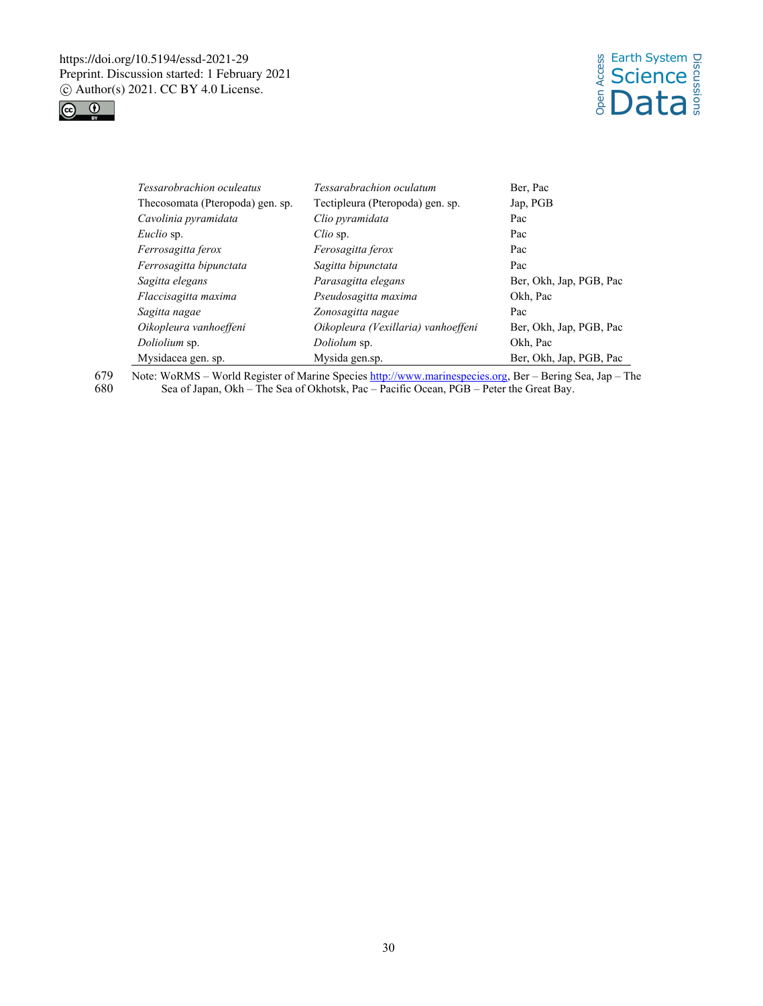



| Tessarobrachion oculeatus         | Tessarabrachion oculatum            | Ber, Pac                |  |  |
|-----------------------------------|-------------------------------------|-------------------------|--|--|
| The cosomata (Pteropoda) gen. sp. | Tectipleura (Pteropoda) gen. sp.    | Jap, PGB                |  |  |
| Cavolinia pyramidata              | Clio pyramidata                     | Pac                     |  |  |
| Euclio sp.                        | Clio sp.                            | Pac                     |  |  |
| Ferrosagitta ferox                | Ferosagitta ferox                   | Pac                     |  |  |
| Ferrosagitta bipunctata           | Sagitta bipunctata                  | Pac                     |  |  |
| Sagitta elegans                   | Parasagitta elegans                 | Ber, Okh, Jap, PGB, Pac |  |  |
| Flaccisagitta maxima              | Pseudosagitta maxima                | Okh, Pac                |  |  |
| Sagitta nagae                     | Zonosagitta nagae                   | Pac                     |  |  |
| Oikopleura vanhoeffeni            | Oikopleura (Vexillaria) vanhoeffeni | Ber, Okh, Jap, PGB, Pac |  |  |
| Doliolium sp.                     | Doliolum sp.                        | Okh, Pac                |  |  |
| Mysidacea gen. sp.                | Mysida gen.sp.                      | Ber, Okh, Jap, PGB, Pac |  |  |

679 Note: WoRMS – World Register of Marine Species http://www.marinespecies.org, Ber – Bering Sea, Jap – The Sea of Okhotsk, Pac – Pacific Ocean, PGB – Peter the Great Bay. Sea of Japan, Okh – The Sea of Okhotsk, Pac – Pacific Ocean, PGB – Peter the Great Bay.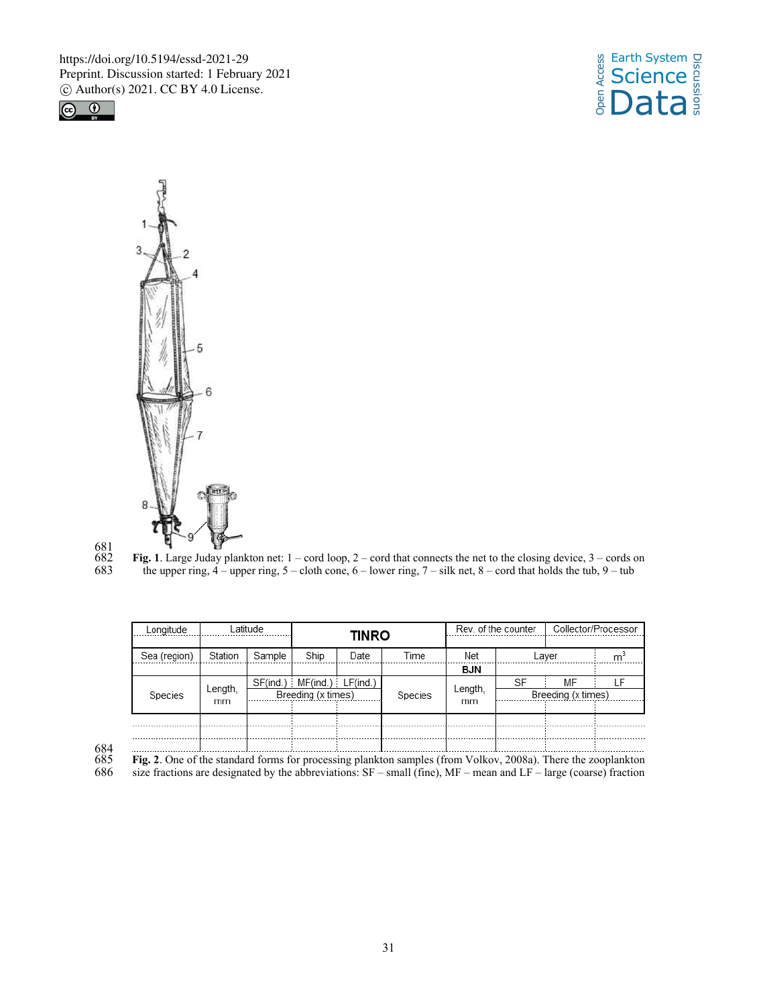





 $\substack{681 \\ 682}$ 

**Fig. 1**. Large Juday plankton net:  $1 - \text{cord loop}$ ,  $2 - \text{cord that connects the net to the closing device}$ ,  $3 - \text{cords on the upper ring}$ ,  $4 - \text{upper ring}$ ,  $5 - \text{cloth cone}$ ,  $6 - \text{lower ring}$ ,  $7 - \text{silk net}$ ,  $8 - \text{cord that holds the tub}$ ,  $9 - \text{tub}$ the upper ring,  $4$  – upper ring,  $5$  – cloth cone,  $6$  – lower ring,  $7$  – silk net,  $8$  – cord that holds the tub,  $9$  – tub

| Lonaitude    |               | atitude            | <b>TINRO</b>                     |         |               | Rev. of the counter |    | Collector/Processor |  |
|--------------|---------------|--------------------|----------------------------------|---------|---------------|---------------------|----|---------------------|--|
| Sea (region) | Station       | Sample             | Ship                             | Date    | Time          | Net                 |    | Laver               |  |
|              |               |                    |                                  |         |               | BJN                 |    |                     |  |
| Species      | Length,<br>mm |                    | $SF(ind.)$ $MF(ind.)$ $LF(ind.)$ |         |               |                     | SF | MF                  |  |
|              |               | Breeding (x times) |                                  | Species | Length,<br>mm | Breeding (x times)  |    |                     |  |
|              |               |                    |                                  |         |               |                     |    |                     |  |
|              |               |                    |                                  |         |               |                     |    |                     |  |
|              |               |                    |                                  |         |               |                     |    |                     |  |
|              |               |                    |                                  |         |               |                     |    |                     |  |

684

 $685$  **Fig. 2**. One of the standard forms for processing plankton samples (from Volkov, 2008a). There the zooplankton 686 size fractions are designated by the abbreviations: SF – small (fine), MF – mean and LF – large (co size fractions are designated by the abbreviations:  $SF - small$  (fine),  $MF - mean$  and  $LF - large$  (coarse) fraction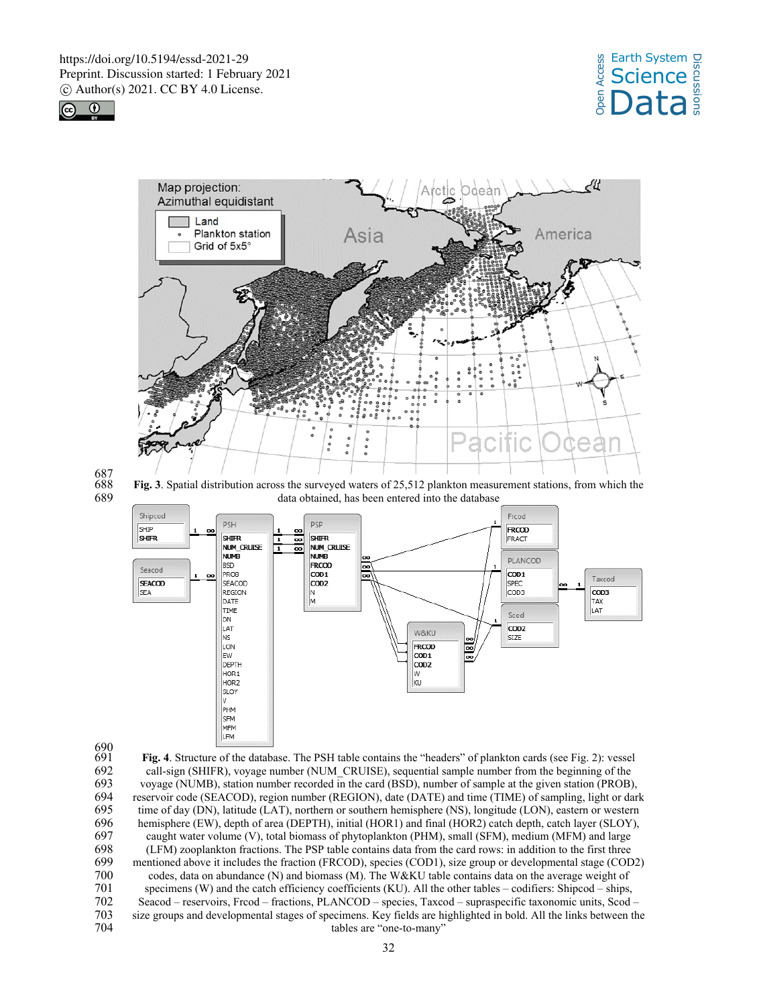





687

688 **Fig. 3**. Spatial distribution across the surveyed waters of 25,512 plankton measurement stations, from which the data obtained, has been entered into the database



690<br>691

691 **Fig. 4**. Structure of the database. The PSH table contains the "headers" of plankton cards (see Fig. 2): vessel 692 call-sign (SHIFR), voyage number (NUM\_CRUISE), sequential sample number from the beginning of the voyage (NUMB), station number recorded in the card (BSD), number of sample at the given station (PROB) 693 voyage (NUMB), station number recorded in the card (BSD), number of sample at the given station (PROB), 694 reservoir code (SEACOD), region number (REGION), date (DATE) and time (TIME) of sampling, light or dark<br>695 time of day (DN), latitude (LAT), northern or southern hemisphere (NS), longitude (LON), eastern or western 695 time of day (DN), latitude (LAT), northern or southern hemisphere (NS), longitude (LON), eastern or western hemisphere (EW), depth of area (DEPTH), initial (HOR1) and final (HOR2) catch depth, catch layer (SLOY), 696 hemisphere (EW), depth of area (DEPTH), initial (HOR1) and final (HOR2) catch depth, catch layer (SLOY),<br>697 caught water volume (V), total biomass of phytoplankton (PHM), small (SFM), medium (MFM) and large 697 caught water volume (V), total biomass of phytoplankton (PHM), small (SFM), medium (MFM) and large 698 (LFM) zooplankton fractions. The PSP table contains data from the card rows: in addition to the first three 699 mentioned above it includes the fraction (FRCOD), species (COD1), size group or developmental stage (COD2) codes, data on abundance (N) and biomass (M). The W&KU table contains data on the average weight of 700 codes, data on abundance (N) and biomass (M). The W&KU table contains data on the average weight of 701 specimens (W) and the catch efficiency coefficients (KU). All the other tables – codifiers: Shipcod – ships, 701 specimens (W) and the catch efficiency coefficients (KU). All the other tables – codifiers: Shipcod – ships,<br>702 seacod – reservoirs, Frcod – fractions, PLANCOD – species, Taxcod – supraspecific taxonomic units, Scod 702 Seacod – reservoirs, Frcod – fractions, PLANCOD – species, Taxcod – supraspecific taxonomic units, Scod – 703 size groups and developmental stages of specimens. Key fields are highlighted in bold. All the links between the tables are "one-to-many"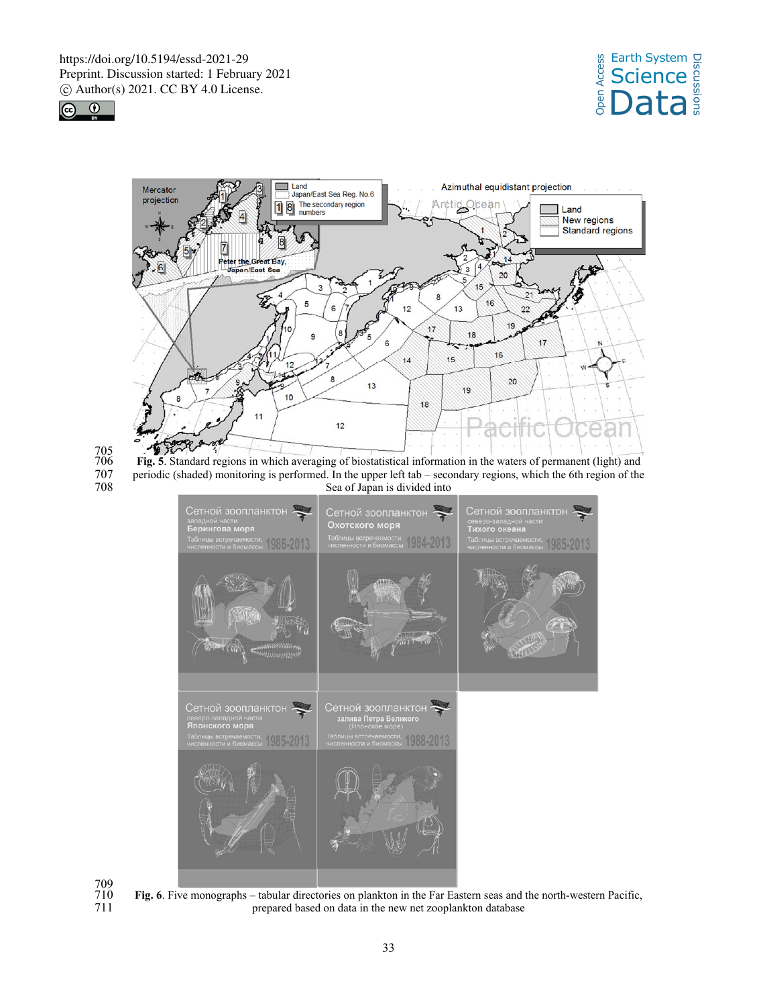





705

706 **Fig. 5**. Standard regions in which averaging of biostatistical information in the waters of permanent (light) and 707 periodic (shaded) monitoring is performed. In the upper left tab – secondary regions, which the 6th region of the 708 Sea of Japan is divided into Sea of Japan is divided into